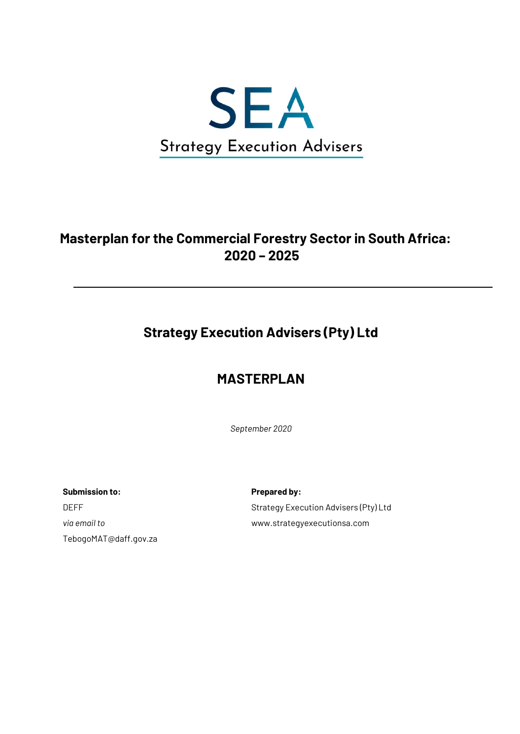

# **Masterplan for the Commercial Forestry Sector in South Africa: 2020 – 2025**

# **Strategy Execution Advisers (Pty) Ltd**

# **MASTERPLAN**

*September 2020*

**Submission to: Prepared by:** TebogoMAT@daff.gov.za

DEFF DEFF Strategy Execution Advisers (Pty) Ltd *via email to* www.strategyexecutionsa.com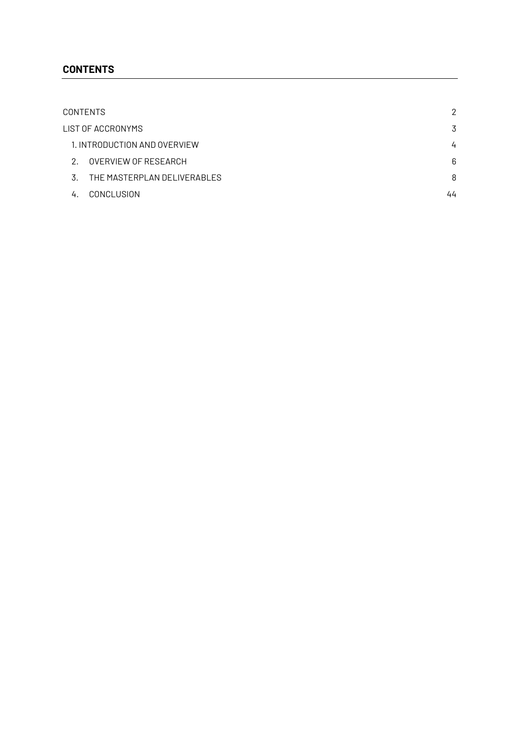# <span id="page-1-0"></span>**CONTENTS**

|              | CONTENTS                     | 2  |
|--------------|------------------------------|----|
|              | LIST OF ACCRONYMS            | 3  |
|              | 1. INTRODUCTION AND OVERVIEW | 4  |
| 2.           | OVERVIEW OF RESEARCH         | 6  |
| $\mathbf{R}$ | THE MASTERPLAN DELIVERABLES  | 8  |
| 4.           | CONCLUSION                   | 44 |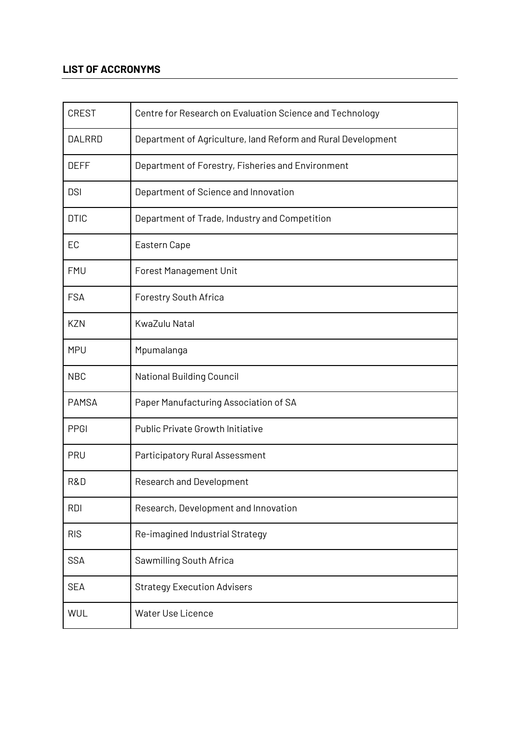# <span id="page-2-0"></span>**LIST OF ACCRONYMS**

| <b>CREST</b> | Centre for Research on Evaluation Science and Technology     |
|--------------|--------------------------------------------------------------|
| DALRRD       | Department of Agriculture, land Reform and Rural Development |
| <b>DEFF</b>  | Department of Forestry, Fisheries and Environment            |
| <b>DSI</b>   | Department of Science and Innovation                         |
| <b>DTIC</b>  | Department of Trade, Industry and Competition                |
| EC           | Eastern Cape                                                 |
| <b>FMU</b>   | <b>Forest Management Unit</b>                                |
| <b>FSA</b>   | Forestry South Africa                                        |
| <b>KZN</b>   | KwaZulu Natal                                                |
| <b>MPU</b>   | Mpumalanga                                                   |
| <b>NBC</b>   | <b>National Building Council</b>                             |
| <b>PAMSA</b> | Paper Manufacturing Association of SA                        |
| PPGI         | <b>Public Private Growth Initiative</b>                      |
| PRU          | <b>Participatory Rural Assessment</b>                        |
| R&D          | <b>Research and Development</b>                              |
| <b>RDI</b>   | Research, Development and Innovation                         |
| <b>RIS</b>   | Re-imagined Industrial Strategy                              |
| <b>SSA</b>   | Sawmilling South Africa                                      |
| <b>SEA</b>   | <b>Strategy Execution Advisers</b>                           |
| WUL          | Water Use Licence                                            |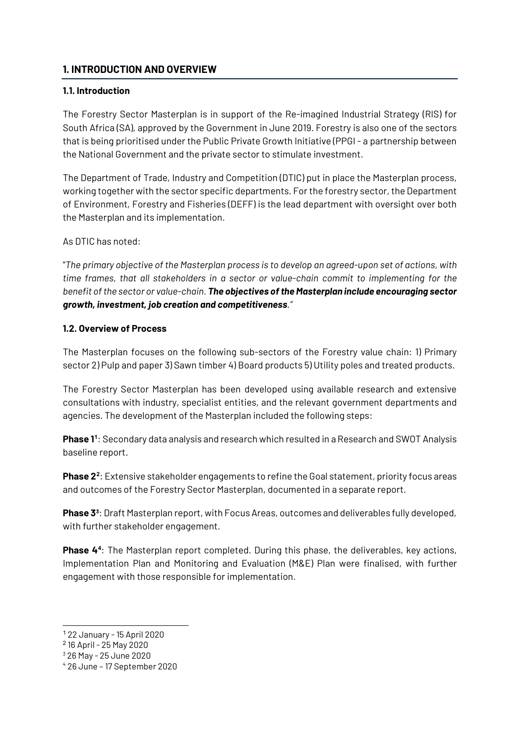# <span id="page-3-0"></span>**1. INTRODUCTION AND OVERVIEW**

## **1.1. Introduction**

The Forestry Sector Masterplan is in support of the Re-imagined Industrial Strategy (RIS) for South Africa (SA), approved by the Government in June 2019. Forestry is also one of the sectors that is being prioritised under the Public Private Growth Initiative (PPGI- a partnership between the National Government and the private sector to stimulate investment.

The Department of Trade, Industry and Competition (DTIC) put in place the Masterplan process, working together with the sector specific departments. For the forestry sector, the Department of Environment, Forestry and Fisheries (DEFF) is the lead department with oversight over both the Masterplan and its implementation.

As DTIC has noted:

"*The primary objective of the Masterplan process is to develop an agreed-upon set of actions, with time frames, that all stakeholders in a sector or value-chain commit to implementing for the benefit of the sector or value-chain. The objectives of the Masterplan include encouraging sector growth, investment, job creation and competitiveness."*

### **1.2. Overview of Process**

The Masterplan focuses on the following sub-sectors of the Forestry value chain: 1) Primary sector 2) Pulp and paper 3) Sawn timber 4) Board products 5) Utility poles and treated products.

The Forestry Sector Masterplan has been developed using available research and extensive consultations with industry, specialist entities, and the relevant government departments and agencies. The development of the Masterplan included the following steps:

**Phase 1[1](#page-3-1)** : Secondary data analysis and research which resulted in a Research and SWOT Analysis baseline report.

**Phase 2[2](#page-3-2)** : Extensive stakeholder engagements to refine the Goal statement, priority focus areas and outcomes of the Forestry Sector Masterplan, documented in a separate report.

**Phase 3[3](#page-3-3)** : Draft Masterplan report, with Focus Areas, outcomes and deliverables fully developed, with further stakeholder engagement.

**Phase 4[4](#page-3-4)** : The Masterplan report completed. During this phase, the deliverables, key actions, Implementation Plan and Monitoring and Evaluation (M&E) Plan were finalised, with further engagement with those responsible for implementation.

<span id="page-3-1"></span><sup>1</sup> 22 January - 15 April 2020

<span id="page-3-2"></span><sup>2</sup> 16 April - 25 May 2020

<span id="page-3-3"></span><sup>3</sup> 26 May - 25 June 2020

<span id="page-3-4"></span><sup>4</sup> 26 June – 17 September 2020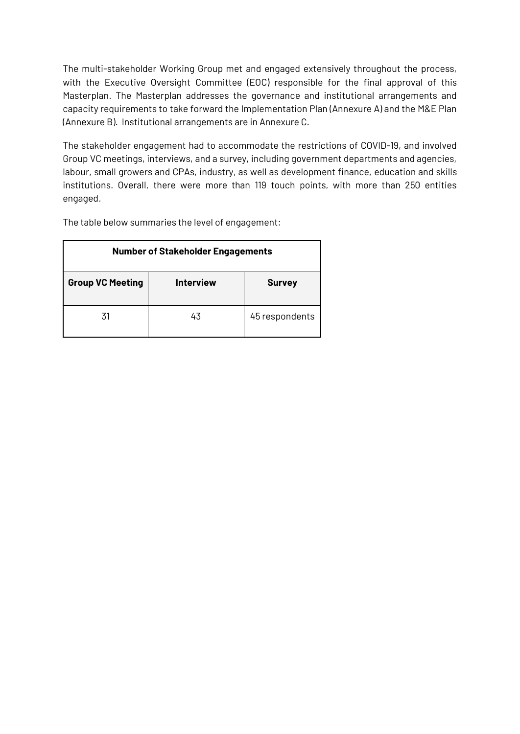The multi-stakeholder Working Group met and engaged extensively throughout the process, with the Executive Oversight Committee (EOC) responsible for the final approval of this Masterplan. The Masterplan addresses the governance and institutional arrangements and capacity requirements to take forward the Implementation Plan (Annexure A) and the M&E Plan (Annexure B). Institutional arrangements are in Annexure C.

The stakeholder engagement had to accommodate the restrictions of COVID-19, and involved Group VC meetings, interviews, and a survey, including government departments and agencies, labour, small growers and CPAs, industry, as well as development finance, education and skills institutions. Overall, there were more than 119 touch points, with more than 250 entities engaged.

The table below summaries the level of engagement:

| <b>Number of Stakeholder Engagements</b>                     |    |                |  |  |  |
|--------------------------------------------------------------|----|----------------|--|--|--|
| <b>Group VC Meeting</b><br><b>Interview</b><br><b>Survey</b> |    |                |  |  |  |
| 31                                                           | 43 | 45 respondents |  |  |  |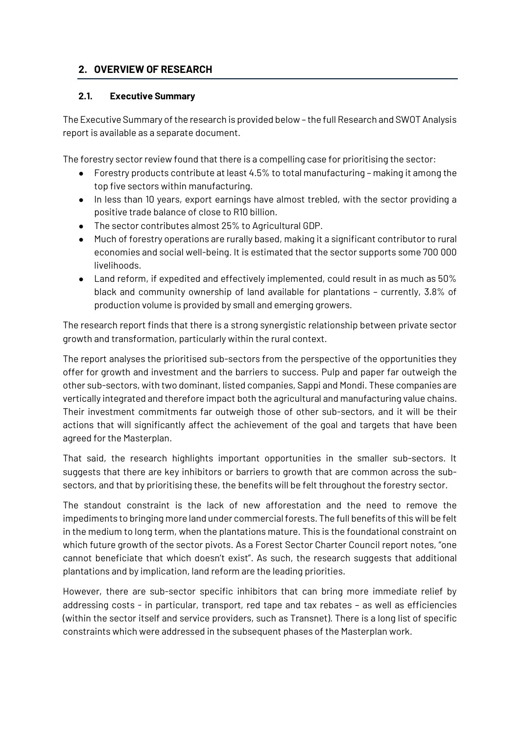# <span id="page-5-0"></span>**2. OVERVIEW OF RESEARCH**

## **2.1. Executive Summary**

The Executive Summary of the research is provided below – the full Research and SWOT Analysis report is available as a separate document.

The forestry sector review found that there is a compelling case for prioritising the sector:

- Forestry products contribute at least 4.5% to total manufacturing making it among the top five sectors within manufacturing.
- In less than 10 years, export earnings have almost trebled, with the sector providing a positive trade balance of close to R10 billion.
- The sector contributes almost 25% to Agricultural GDP.
- Much of forestry operations are rurally based, making it a significant contributor to rural economies and social well-being. It is estimated that the sector supports some 700 000 livelihoods.
- $\bullet$  Land reform, if expedited and effectively implemented, could result in as much as 50% black and community ownership of land available for plantations – currently, 3.8% of production volume is provided by small and emerging growers.

The research report finds that there is a strong synergistic relationship between private sector growth and transformation, particularly within the rural context.

The report analyses the prioritised sub-sectors from the perspective of the opportunities they offer for growth and investment and the barriers to success. Pulp and paper far outweigh the other sub-sectors, with two dominant, listed companies, Sappi and Mondi. These companies are vertically integrated and therefore impact both the agricultural and manufacturing value chains. Their investment commitments far outweigh those of other sub-sectors, and it will be their actions that will significantly affect the achievement of the goal and targets that have been agreed for the Masterplan.

That said, the research highlights important opportunities in the smaller sub-sectors. It suggests that there are key inhibitors or barriers to growth that are common across the subsectors, and that by prioritising these, the benefits will be felt throughout the forestry sector.

The standout constraint is the lack of new afforestation and the need to remove the impediments to bringing more land under commercial forests. The full benefits of this will be felt in the medium to long term, when the plantations mature. This is the foundational constraint on which future growth of the sector pivots. As a Forest Sector Charter Council report notes, "one cannot beneficiate that which doesn't exist". As such, the research suggests that additional plantations and by implication, land reform are the leading priorities.

However, there are sub-sector specific inhibitors that can bring more immediate relief by addressing costs - in particular, transport, red tape and tax rebates – as well as efficiencies (within the sector itself and service providers, such as Transnet). There is a long list of specific constraints which were addressed in the subsequent phases of the Masterplan work.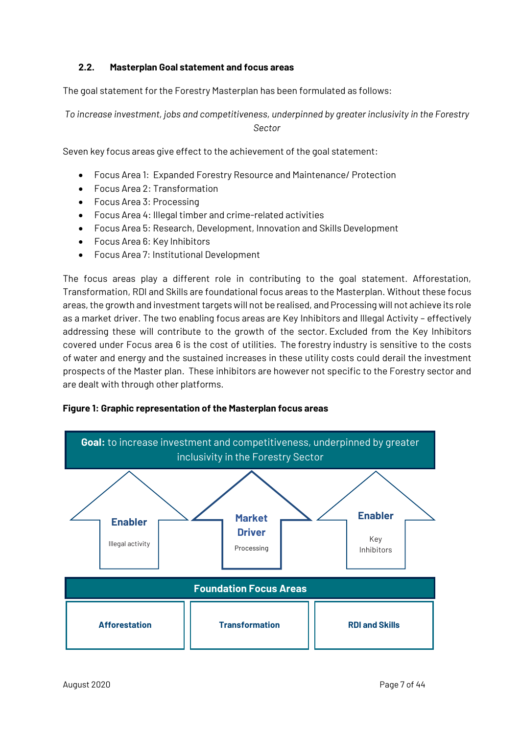## **2.2. Masterplan Goal statement and focus areas**

The goal statement for the Forestry Masterplan has been formulated as follows:

*To increase investment, jobs and competitiveness, underpinned by greater inclusivity in the Forestry*

*Sector*

Seven key focus areas give effect to the achievement of the goal statement:

- Focus Area 1: Expanded Forestry Resource and Maintenance/ Protection
- Focus Area 2: Transformation
- Focus Area 3: Processing
- Focus Area 4: Illegal timber and crime-related activities
- Focus Area 5: Research, Development, Innovation and Skills Development
- Focus Area 6: Key Inhibitors
- Focus Area 7: Institutional Development

The focus areas play a different role in contributing to the goal statement. Afforestation, Transformation, RDI and Skills are foundational focus areas to the Masterplan. Without these focus areas, the growth and investment targets will not be realised, and Processing will not achieve its role as a market driver. The two enabling focus areas are Key Inhibitors and Illegal Activity – effectively addressing these will contribute to the growth of the sector. Excluded from the Key Inhibitors covered under Focus area 6 is the cost of utilities. The forestry industry is sensitive to the costs of water and energy and the sustained increases in these utility costs could derail the investment prospects of the Master plan. These inhibitors are however not specific to the Forestry sector and are dealt with through other platforms.

#### **Figure 1: Graphic representation of the Masterplan focus areas**

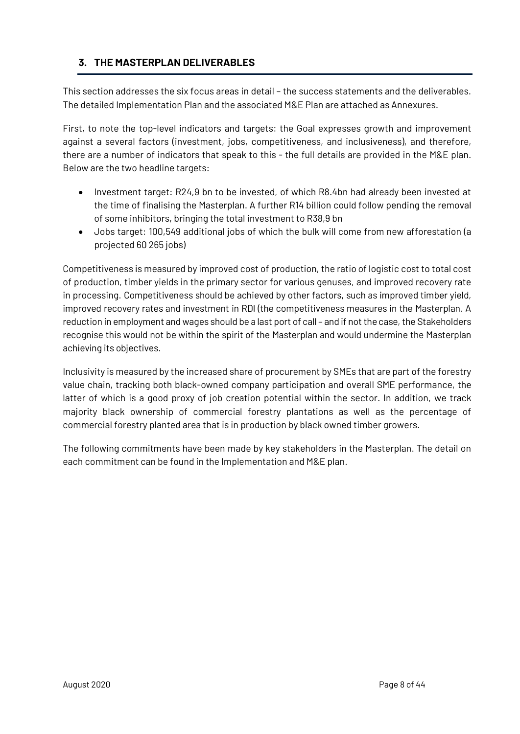# <span id="page-7-0"></span>**3. THE MASTERPLAN DELIVERABLES**

This section addresses the six focus areas in detail – the success statements and the deliverables. The detailed Implementation Plan and the associated M&E Plan are attached as Annexures.

First, to note the top-level indicators and targets: the Goal expresses growth and improvement against a several factors (investment, jobs, competitiveness, and inclusiveness), and therefore, there are a number of indicators that speak to this - the full details are provided in the M&E plan. Below are the two headline targets:

- Investment target: R24,9 bn to be invested, of which R8.4bn had already been invested at the time of finalising the Masterplan. A further R14 billion could follow pending the removal of some inhibitors, bringing the total investment to R38,9 bn
- Jobs target: 100,549 additional jobs of which the bulk will come from new afforestation (a projected 60 265 jobs)

Competitiveness is measured by improved cost of production, the ratio of logistic cost to total cost of production, timber yields in the primary sector for various genuses, and improved recovery rate in processing. Competitiveness should be achieved by other factors, such as improved timber yield, improved recovery rates and investment in RDI (the competitiveness measures in the Masterplan. A reduction in employment and wages should be a last port of call – and if not the case, the Stakeholders recognise this would not be within the spirit of the Masterplan and would undermine the Masterplan achieving its objectives.

Inclusivity is measured by the increased share of procurement by SMEs that are part of the forestry value chain, tracking both black-owned company participation and overall SME performance, the latter of which is a good proxy of job creation potential within the sector. In addition, we track majority black ownership of commercial forestry plantations as well as the percentage of commercial forestry planted area that is in production by black owned timber growers.

The following commitments have been made by key stakeholders in the Masterplan. The detail on each commitment can be found in the Implementation and M&E plan.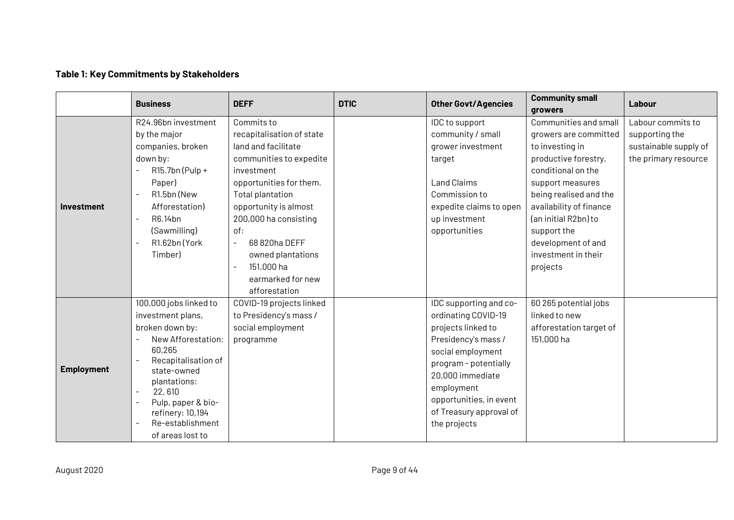# **Table 1: Key Commitments by Stakeholders**

|                   | <b>Business</b>                                                                                                                                                                                                                                  | <b>DEFF</b>                                                                                                                                                                                                                                                                                                                                                       | <b>DTIC</b> | <b>Other Govt/Agencies</b>                                                                                                                                                                                                                       | <b>Community small</b>                                                                                                                                                                                                                                                                              | Labour                                                                               |
|-------------------|--------------------------------------------------------------------------------------------------------------------------------------------------------------------------------------------------------------------------------------------------|-------------------------------------------------------------------------------------------------------------------------------------------------------------------------------------------------------------------------------------------------------------------------------------------------------------------------------------------------------------------|-------------|--------------------------------------------------------------------------------------------------------------------------------------------------------------------------------------------------------------------------------------------------|-----------------------------------------------------------------------------------------------------------------------------------------------------------------------------------------------------------------------------------------------------------------------------------------------------|--------------------------------------------------------------------------------------|
| <b>Investment</b> | R24.96bn investment<br>by the major<br>companies, broken<br>down by:<br>R15.7bn (Pulp +<br>Paper)<br>R1.5bn (New<br>Afforestation)<br>R6.14bn<br>$\overline{\phantom{a}}$<br>(Sawmilling)<br>R1.62bn (York<br>Timber)                            | Commits to<br>recapitalisation of state<br>land and facilitate<br>communities to expedite<br>investment<br>opportunities for them.<br>Total plantation<br>opportunity is almost<br>200,000 ha consisting<br>of:<br>68 820ha DEFF<br>$\overline{\phantom{a}}$<br>owned plantations<br>151,000 ha<br>$\overline{\phantom{a}}$<br>earmarked for new<br>afforestation |             | IDC to support<br>community / small<br>grower investment<br>target<br><b>Land Claims</b><br>Commission to<br>expedite claims to open<br>up investment<br>opportunities                                                                           | growers<br>Communities and small<br>growers are committed<br>to investing in<br>productive forestry,<br>conditional on the<br>support measures<br>being realised and the<br>availability of finance<br>(an initial R2bn) to<br>support the<br>development of and<br>investment in their<br>projects | Labour commits to<br>supporting the<br>sustainable supply of<br>the primary resource |
| <b>Employment</b> | 100,000 jobs linked to<br>investment plans,<br>broken down by:<br>New Afforestation:<br>60,265<br>Recapitalisation of<br>state-owned<br>plantations:<br>22,610<br>Pulp, paper & bio-<br>refinery: 10,194<br>Re-establishment<br>of areas lost to | COVID-19 projects linked<br>to Presidency's mass /<br>social employment<br>programme                                                                                                                                                                                                                                                                              |             | IDC supporting and co-<br>ordinating COVID-19<br>projects linked to<br>Presidency's mass /<br>social employment<br>program - potentially<br>20,000 immediate<br>employment<br>opportunities, in event<br>of Treasury approval of<br>the projects | 60 265 potential jobs<br>linked to new<br>afforestation target of<br>151,000 ha                                                                                                                                                                                                                     |                                                                                      |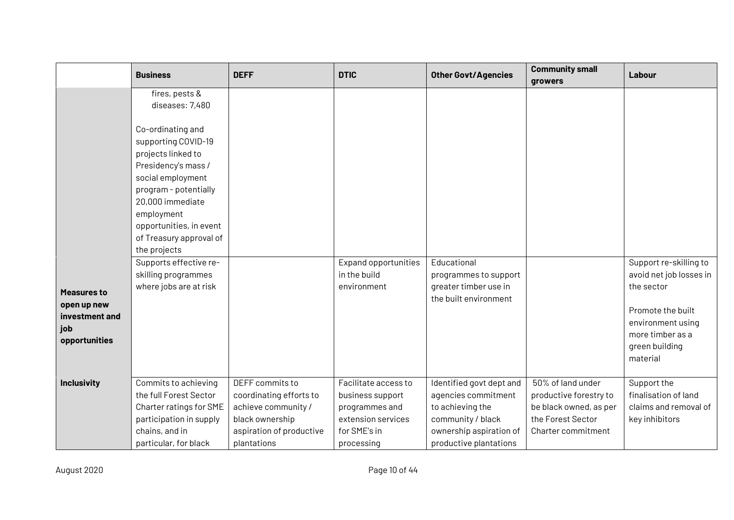|                                                                             | <b>Business</b>                                                                                                                                    | <b>DEFF</b>                                                                                                                     | <b>DTIC</b>                                                                                                    | <b>Other Govt/Agencies</b>                                                                                                                    | <b>Community small</b><br>growers                                                                                | Labour                                                                                                                                                      |
|-----------------------------------------------------------------------------|----------------------------------------------------------------------------------------------------------------------------------------------------|---------------------------------------------------------------------------------------------------------------------------------|----------------------------------------------------------------------------------------------------------------|-----------------------------------------------------------------------------------------------------------------------------------------------|------------------------------------------------------------------------------------------------------------------|-------------------------------------------------------------------------------------------------------------------------------------------------------------|
|                                                                             | fires, pests &<br>diseases: 7,480<br>Co-ordinating and<br>supporting COVID-19<br>projects linked to<br>Presidency's mass /                         |                                                                                                                                 |                                                                                                                |                                                                                                                                               |                                                                                                                  |                                                                                                                                                             |
|                                                                             | social employment<br>program - potentially<br>20,000 immediate<br>employment<br>opportunities, in event<br>of Treasury approval of<br>the projects |                                                                                                                                 |                                                                                                                |                                                                                                                                               |                                                                                                                  |                                                                                                                                                             |
| <b>Measures to</b><br>open up new<br>investment and<br>job<br>opportunities | Supports effective re-<br>skilling programmes<br>where jobs are at risk                                                                            |                                                                                                                                 | <b>Expand opportunities</b><br>in the build<br>environment                                                     | Educational<br>programmes to support<br>greater timber use in<br>the built environment                                                        |                                                                                                                  | Support re-skilling to<br>avoid net job losses in<br>the sector<br>Promote the built<br>environment using<br>more timber as a<br>green building<br>material |
| <b>Inclusivity</b>                                                          | Commits to achieving<br>the full Forest Sector<br>Charter ratings for SME<br>participation in supply<br>chains, and in<br>particular, for black    | DEFF commits to<br>coordinating efforts to<br>achieve community /<br>black ownership<br>aspiration of productive<br>plantations | Facilitate access to<br>business support<br>programmes and<br>extension services<br>for SME's in<br>processing | Identified govt dept and<br>agencies commitment<br>to achieving the<br>community / black<br>ownership aspiration of<br>productive plantations | 50% of land under<br>productive forestry to<br>be black owned, as per<br>the Forest Sector<br>Charter commitment | Support the<br>finalisation of land<br>claims and removal of<br>key inhibitors                                                                              |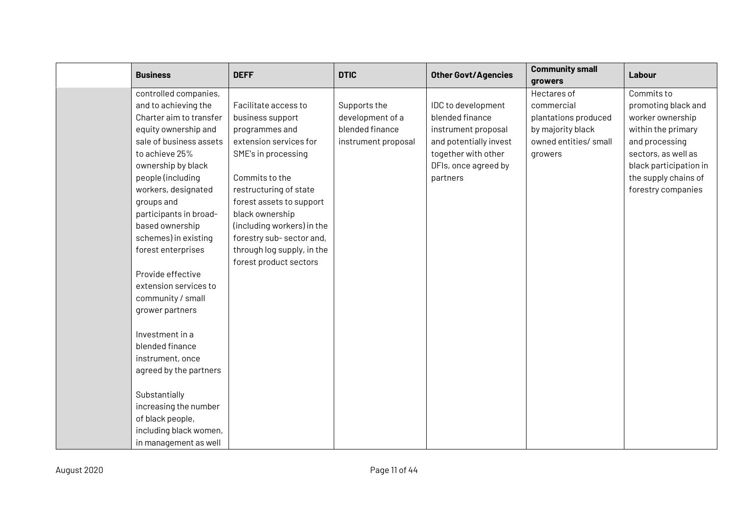| <b>Business</b>         | <b>DEFF</b>                | <b>DTIC</b>         | <b>Other Govt/Agencies</b> | <b>Community small</b><br>growers | Labour                 |
|-------------------------|----------------------------|---------------------|----------------------------|-----------------------------------|------------------------|
| controlled companies,   |                            |                     |                            | Hectares of                       | Commits to             |
| and to achieving the    | Facilitate access to       | Supports the        | IDC to development         | commercial                        | promoting black and    |
| Charter aim to transfer | business support           | development of a    | blended finance            | plantations produced              | worker ownership       |
| equity ownership and    | programmes and             | blended finance     | instrument proposal        | by majority black                 | within the primary     |
| sale of business assets | extension services for     | instrument proposal | and potentially invest     | owned entities/ small             | and processing         |
| to achieve 25%          | SME's in processing        |                     | together with other        | growers                           | sectors, as well as    |
| ownership by black      |                            |                     | DFIs, once agreed by       |                                   | black participation in |
| people (including       | Commits to the             |                     | partners                   |                                   | the supply chains of   |
| workers, designated     | restructuring of state     |                     |                            |                                   | forestry companies     |
| groups and              | forest assets to support   |                     |                            |                                   |                        |
| participants in broad-  | black ownership            |                     |                            |                                   |                        |
| based ownership         | (including workers) in the |                     |                            |                                   |                        |
| schemes) in existing    | forestry sub-sector and,   |                     |                            |                                   |                        |
| forest enterprises      | through log supply, in the |                     |                            |                                   |                        |
|                         | forest product sectors     |                     |                            |                                   |                        |
| Provide effective       |                            |                     |                            |                                   |                        |
| extension services to   |                            |                     |                            |                                   |                        |
| community / small       |                            |                     |                            |                                   |                        |
| grower partners         |                            |                     |                            |                                   |                        |
|                         |                            |                     |                            |                                   |                        |
| Investment in a         |                            |                     |                            |                                   |                        |
| blended finance         |                            |                     |                            |                                   |                        |
| instrument, once        |                            |                     |                            |                                   |                        |
| agreed by the partners  |                            |                     |                            |                                   |                        |
| Substantially           |                            |                     |                            |                                   |                        |
| increasing the number   |                            |                     |                            |                                   |                        |
| of black people,        |                            |                     |                            |                                   |                        |
| including black women,  |                            |                     |                            |                                   |                        |
| in management as well   |                            |                     |                            |                                   |                        |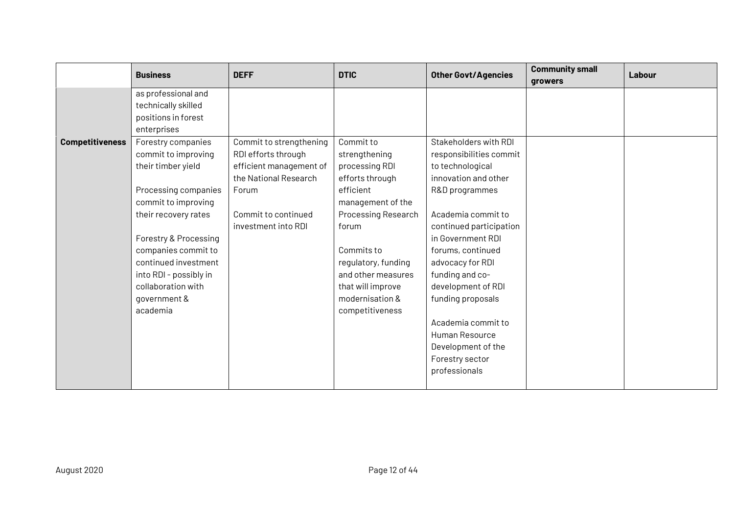|                        | <b>Business</b>        | <b>DEFF</b>             | <b>DTIC</b>         | <b>Other Govt/Agencies</b> | <b>Community small</b> | Labour |
|------------------------|------------------------|-------------------------|---------------------|----------------------------|------------------------|--------|
|                        |                        |                         |                     |                            | growers                |        |
|                        | as professional and    |                         |                     |                            |                        |        |
|                        | technically skilled    |                         |                     |                            |                        |        |
|                        | positions in forest    |                         |                     |                            |                        |        |
|                        | enterprises            |                         |                     |                            |                        |        |
| <b>Competitiveness</b> | Forestry companies     | Commit to strengthening | Commit to           | Stakeholders with RDI      |                        |        |
|                        | commit to improving    | RDI efforts through     | strengthening       | responsibilities commit    |                        |        |
|                        | their timber yield     | efficient management of | processing RDI      | to technological           |                        |        |
|                        |                        | the National Research   | efforts through     | innovation and other       |                        |        |
|                        | Processing companies   | Forum                   | efficient           | R&D programmes             |                        |        |
|                        | commit to improving    |                         | management of the   |                            |                        |        |
|                        | their recovery rates   | Commit to continued     | Processing Research | Academia commit to         |                        |        |
|                        |                        | investment into RDI     | forum               | continued participation    |                        |        |
|                        | Forestry & Processing  |                         |                     | in Government RDI          |                        |        |
|                        | companies commit to    |                         | Commits to          | forums, continued          |                        |        |
|                        | continued investment   |                         | regulatory, funding | advocacy for RDI           |                        |        |
|                        | into RDI - possibly in |                         | and other measures  | funding and co-            |                        |        |
|                        | collaboration with     |                         | that will improve   | development of RDI         |                        |        |
|                        | government &           |                         | modernisation &     | funding proposals          |                        |        |
|                        | academia               |                         | competitiveness     |                            |                        |        |
|                        |                        |                         |                     | Academia commit to         |                        |        |
|                        |                        |                         |                     | Human Resource             |                        |        |
|                        |                        |                         |                     | Development of the         |                        |        |
|                        |                        |                         |                     | Forestry sector            |                        |        |
|                        |                        |                         |                     | professionals              |                        |        |
|                        |                        |                         |                     |                            |                        |        |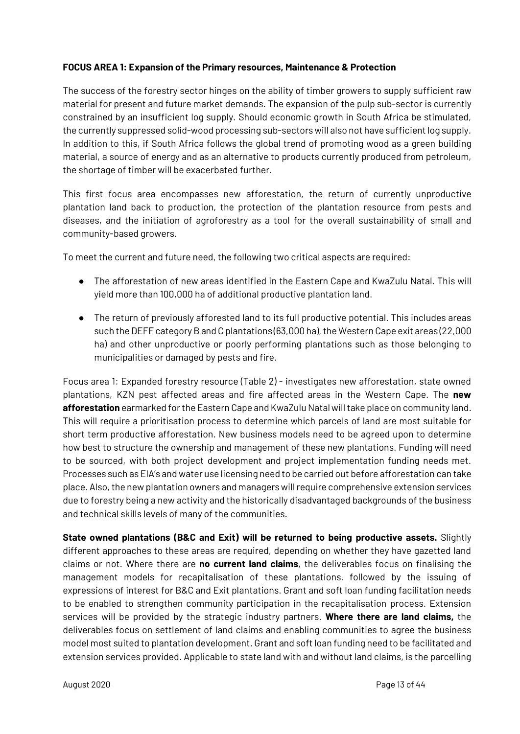### **FOCUS AREA 1: Expansion of the Primary resources, Maintenance & Protection**

The success of the forestry sector hinges on the ability of timber growers to supply sufficient raw material for present and future market demands. The expansion of the pulp sub-sector is currently constrained by an insufficient log supply. Should economic growth in South Africa be stimulated, the currently suppressed solid-wood processing sub-sectors will also not have sufficient log supply. In addition to this, if South Africa follows the global trend of promoting wood as a green building material, a source of energy and as an alternative to products currently produced from petroleum, the shortage of timber will be exacerbated further.

This first focus area encompasses new afforestation, the return of currently unproductive plantation land back to production, the protection of the plantation resource from pests and diseases, and the initiation of agroforestry as a tool for the overall sustainability of small and community-based growers.

To meet the current and future need, the following two critical aspects are required:

- The afforestation of new areas identified in the Eastern Cape and KwaZulu Natal. This will yield more than 100,000 ha of additional productive plantation land.
- The return of previously afforested land to its full productive potential. This includes areas such the DEFF category B and C plantations (63,000 ha), the Western Cape exit areas (22,000 ha) and other unproductive or poorly performing plantations such as those belonging to municipalities or damaged by pests and fire.

Focus area 1: Expanded forestry resource (Table 2) - investigates new afforestation, state owned plantations, KZN pest affected areas and fire affected areas in the Western Cape. The **new afforestation** earmarked forthe Eastern Cape and KwaZulu Natal will take place on community land. This will require a prioritisation process to determine which parcels of land are most suitable for short term productive afforestation. New business models need to be agreed upon to determine how best to structure the ownership and management of these new plantations. Funding will need to be sourced, with both project development and project implementation funding needs met. Processes such as EIA's and water use licensing need to be carried out before afforestation can take place. Also, the new plantation owners and managers will require comprehensive extension services due to forestry being a new activity and the historically disadvantaged backgrounds of the business and technical skills levels of many of the communities.

**State owned plantations (B&C and Exit) will be returned to being productive assets.** Slightly different approaches to these areas are required, depending on whether they have gazetted land claims or not. Where there are **no current land claims**, the deliverables focus on finalising the management models for recapitalisation of these plantations, followed by the issuing of expressions of interest for B&C and Exit plantations. Grant and soft loan funding facilitation needs to be enabled to strengthen community participation in the recapitalisation process. Extension services will be provided by the strategic industry partners. **Where there are land claims,** the deliverables focus on settlement of land claims and enabling communities to agree the business model most suited to plantation development. Grant and soft loan funding need to be facilitated and extension services provided. Applicable to state land with and without land claims, is the parcelling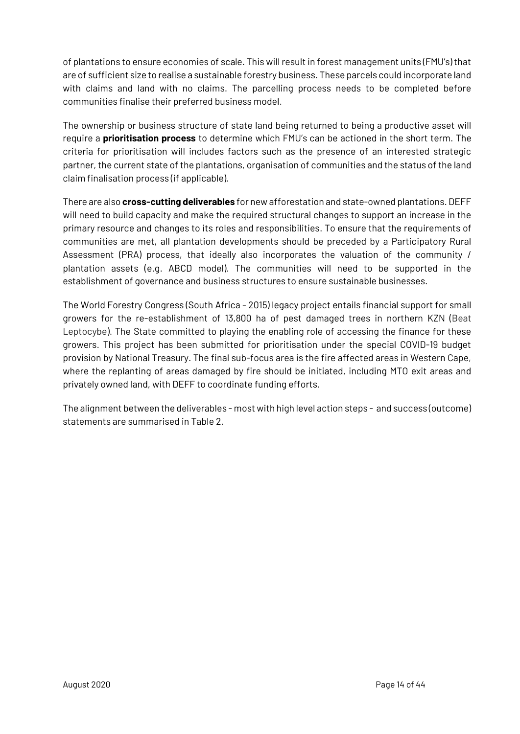of plantations to ensure economies of scale. This will result in forest management units (FMU's) that are of sufficient size to realise a sustainable forestry business. These parcels could incorporate land with claims and land with no claims. The parcelling process needs to be completed before communities finalise their preferred business model.

The ownership or business structure of state land being returned to being a productive asset will require a **prioritisation process** to determine which FMU's can be actioned in the short term. The criteria for prioritisation will includes factors such as the presence of an interested strategic partner, the current state of the plantations, organisation of communities and the status of the land claim finalisation process (if applicable).

There are also **cross-cutting deliverables** for new afforestation and state-owned plantations. DEFF will need to build capacity and make the required structural changes to support an increase in the primary resource and changes to its roles and responsibilities. To ensure that the requirements of communities are met, all plantation developments should be preceded by a Participatory Rural Assessment (PRA) process, that ideally also incorporates the valuation of the community / plantation assets (e.g. ABCD model). The communities will need to be supported in the establishment of governance and business structures to ensure sustainable businesses.

The World Forestry Congress (South Africa - 2015) legacy project entails financial support for small growers for the re-establishment of 13,800 ha of pest damaged trees in northern KZN (Beat Leptocybe). The State committed to playing the enabling role of accessing the finance for these growers. This project has been submitted for prioritisation under the special COVID-19 budget provision by National Treasury. The final sub-focus area is the fire affected areas in Western Cape, where the replanting of areas damaged by fire should be initiated, including MTO exit areas and privately owned land, with DEFF to coordinate funding efforts.

The alignment between the deliverables - most with high level action steps - and success (outcome) statements are summarised in Table 2.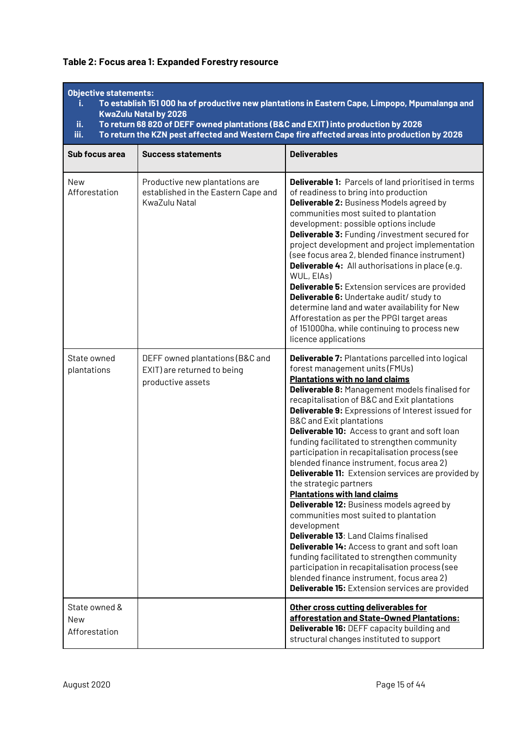# **Table 2: Focus area 1: Expanded Forestry resource**

| <b>Objective statements:</b><br>To establish 151 000 ha of productive new plantations in Eastern Cape, Limpopo, Mpumalanga and<br>j.<br><b>KwaZulu Natal by 2026</b><br>To return 68 820 of DEFF owned plantations (B&C and EXIT) into production by 2026<br>ii.<br>iii.<br>To return the KZN pest affected and Western Cape fire affected areas into production by 2026 |                                                                                        |                                                                                                                                                                                                                                                                                                                                                                                                                                                                                                                                                                                                                                                                                                                                                                                                                                                                                                                                                                                                                                                                 |  |  |  |  |
|--------------------------------------------------------------------------------------------------------------------------------------------------------------------------------------------------------------------------------------------------------------------------------------------------------------------------------------------------------------------------|----------------------------------------------------------------------------------------|-----------------------------------------------------------------------------------------------------------------------------------------------------------------------------------------------------------------------------------------------------------------------------------------------------------------------------------------------------------------------------------------------------------------------------------------------------------------------------------------------------------------------------------------------------------------------------------------------------------------------------------------------------------------------------------------------------------------------------------------------------------------------------------------------------------------------------------------------------------------------------------------------------------------------------------------------------------------------------------------------------------------------------------------------------------------|--|--|--|--|
| Sub focus area                                                                                                                                                                                                                                                                                                                                                           | <b>Success statements</b>                                                              | <b>Deliverables</b>                                                                                                                                                                                                                                                                                                                                                                                                                                                                                                                                                                                                                                                                                                                                                                                                                                                                                                                                                                                                                                             |  |  |  |  |
| New<br>Afforestation                                                                                                                                                                                                                                                                                                                                                     | Productive new plantations are<br>established in the Eastern Cape and<br>KwaZulu Natal | <b>Deliverable 1:</b> Parcels of land prioritised in terms<br>of readiness to bring into production<br>Deliverable 2: Business Models agreed by<br>communities most suited to plantation<br>development: possible options include<br>Deliverable 3: Funding / investment secured for<br>project development and project implementation<br>(see focus area 2, blended finance instrument)<br><b>Deliverable 4:</b> All authorisations in place (e.g.<br>WUL, EIAs)<br>Deliverable 5: Extension services are provided<br>Deliverable 6: Undertake audit/ study to<br>determine land and water availability for New<br>Afforestation as per the PPGI target areas<br>of 151000ha, while continuing to process new<br>licence applications                                                                                                                                                                                                                                                                                                                          |  |  |  |  |
| State owned<br>plantations                                                                                                                                                                                                                                                                                                                                               | DEFF owned plantations (B&C and<br>EXIT) are returned to being<br>productive assets    | Deliverable 7: Plantations parcelled into logical<br>forest management units (FMUs)<br><b>Plantations with no land claims</b><br>Deliverable 8: Management models finalised for<br>recapitalisation of B&C and Exit plantations<br>Deliverable 9: Expressions of Interest issued for<br><b>B&amp;C</b> and Exit plantations<br>Deliverable 10: Access to grant and soft loan<br>funding facilitated to strengthen community<br>participation in recapitalisation process (see<br>blended finance instrument, focus area 2)<br><b>Deliverable 11:</b> Extension services are provided by<br>the strategic partners<br><b>Plantations with land claims</b><br><b>Deliverable 12: Business models agreed by</b><br>communities most suited to plantation<br>development<br>Deliverable 13: Land Claims finalised<br>Deliverable 14: Access to grant and soft loan<br>funding facilitated to strengthen community<br>participation in recapitalisation process (see<br>blended finance instrument, focus area 2)<br>Deliverable 15: Extension services are provided |  |  |  |  |
| State owned &<br>New<br>Afforestation                                                                                                                                                                                                                                                                                                                                    |                                                                                        | Other cross cutting deliverables for<br>afforestation and State-Owned Plantations:<br>Deliverable 16: DEFF capacity building and<br>structural changes instituted to support                                                                                                                                                                                                                                                                                                                                                                                                                                                                                                                                                                                                                                                                                                                                                                                                                                                                                    |  |  |  |  |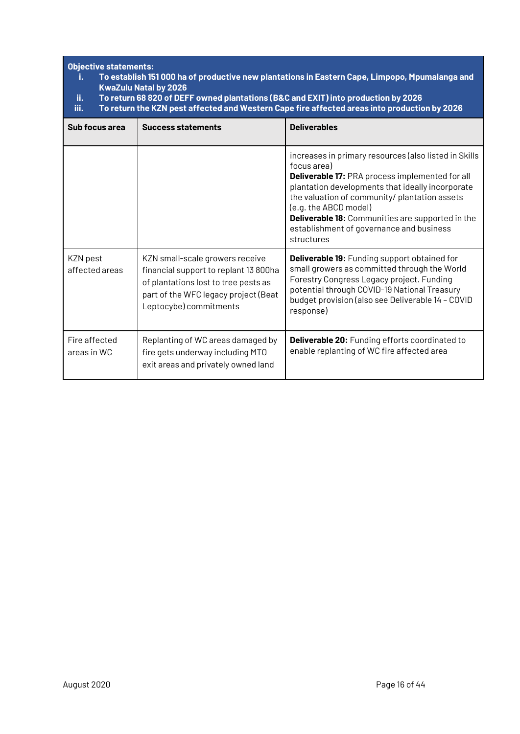**Objective statements:**

- **i. To establish 151 000 ha of productive new plantations in Eastern Cape, Limpopo, Mpumalanga and KwaZulu Natal by 2026**
- **ii. To return 68 820 of DEFF owned plantations (B&C and EXIT) into production by 2026**
- **iii. To return the KZN pest affected and Western Cape fire affected areas into production by 2026**

| Sub focus area               | <b>Success statements</b>                                                                                                                                                          | <b>Deliverables</b>                                                                                                                                                                                                                                                                                                                                                        |
|------------------------------|------------------------------------------------------------------------------------------------------------------------------------------------------------------------------------|----------------------------------------------------------------------------------------------------------------------------------------------------------------------------------------------------------------------------------------------------------------------------------------------------------------------------------------------------------------------------|
|                              |                                                                                                                                                                                    | increases in primary resources (also listed in Skills<br>focus area)<br><b>Deliverable 17: PRA process implemented for all</b><br>plantation developments that ideally incorporate<br>the valuation of community/ plantation assets<br>(e.g. the ABCD model)<br>Deliverable 18: Communities are supported in the<br>establishment of governance and business<br>structures |
| KZN pest<br>affected areas   | KZN small-scale growers receive<br>financial support to replant 13 800ha<br>of plantations lost to tree pests as<br>part of the WFC legacy project (Beat<br>Leptocybe) commitments | Deliverable 19: Funding support obtained for<br>small growers as committed through the World<br>Forestry Congress Legacy project. Funding<br>potential through COVID-19 National Treasury<br>budget provision (also see Deliverable 14 - COVID<br>response)                                                                                                                |
| Fire affected<br>areas in WC | Replanting of WC areas damaged by<br>fire gets underway including MTO<br>exit areas and privately owned land                                                                       | Deliverable 20: Funding efforts coordinated to<br>enable replanting of WC fire affected area                                                                                                                                                                                                                                                                               |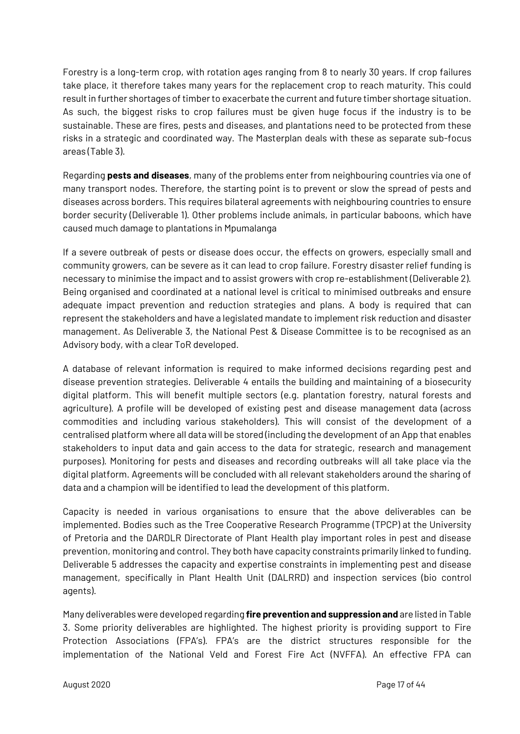Forestry is a long-term crop, with rotation ages ranging from 8 to nearly 30 years. If crop failures take place, it therefore takes many years for the replacement crop to reach maturity. This could result in further shortages of timber to exacerbate the current and future timber shortage situation. As such, the biggest risks to crop failures must be given huge focus if the industry is to be sustainable. These are fires, pests and diseases, and plantations need to be protected from these risks in a strategic and coordinated way. The Masterplan deals with these as separate sub-focus areas (Table 3).

Regarding **pests and diseases**, many of the problems enter from neighbouring countries via one of many transport nodes. Therefore, the starting point is to prevent or slow the spread of pests and diseases across borders. This requires bilateral agreements with neighbouring countries to ensure border security (Deliverable 1). Other problems include animals, in particular baboons, which have caused much damage to plantations in Mpumalanga

If a severe outbreak of pests or disease does occur, the effects on growers, especially small and community growers, can be severe as it can lead to crop failure. Forestry disaster relief funding is necessary to minimise the impact and to assist growers with crop re-establishment (Deliverable 2). Being organised and coordinated at a national level is critical to minimised outbreaks and ensure adequate impact prevention and reduction strategies and plans. A body is required that can represent the stakeholders and have a legislated mandate to implement risk reduction and disaster management. As Deliverable 3, the National Pest & Disease Committee is to be recognised as an Advisory body, with a clear ToR developed.

A database of relevant information is required to make informed decisions regarding pest and disease prevention strategies. Deliverable 4 entails the building and maintaining of a biosecurity digital platform. This will benefit multiple sectors (e.g. plantation forestry, natural forests and agriculture). A profile will be developed of existing pest and disease management data (across commodities and including various stakeholders). This will consist of the development of a centralised platform where all data will be stored (including the development of an App that enables stakeholders to input data and gain access to the data for strategic, research and management purposes). Monitoring for pests and diseases and recording outbreaks will all take place via the digital platform. Agreements will be concluded with all relevant stakeholders around the sharing of data and a champion will be identified to lead the development of this platform.

Capacity is needed in various organisations to ensure that the above deliverables can be implemented. Bodies such as the Tree Cooperative Research Programme (TPCP) at the University of Pretoria and the DARDLR Directorate of Plant Health play important roles in pest and disease prevention, monitoring and control. They both have capacity constraints primarily linked to funding. Deliverable 5 addresses the capacity and expertise constraints in implementing pest and disease management, specifically in Plant Health Unit (DALRRD) and inspection services (bio control agents).

Many deliverables were developed regarding **fire prevention and suppression and** are listed in Table 3. Some priority deliverables are highlighted. The highest priority is providing support to Fire Protection Associations (FPA's). FPA's are the district structures responsible for the implementation of the National Veld and Forest Fire Act (NVFFA). An effective FPA can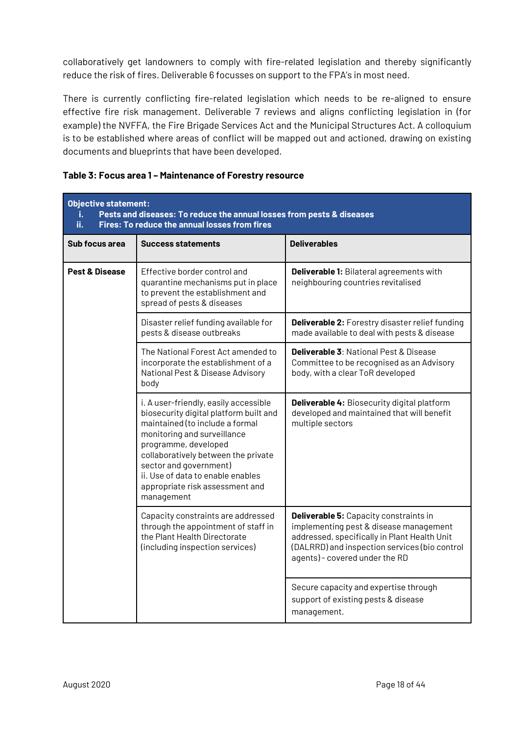collaboratively get landowners to comply with fire-related legislation and thereby significantly reduce the risk of fires. Deliverable 6 focusses on support to the FPA's in most need.

There is currently conflicting fire-related legislation which needs to be re-aligned to ensure effective fire risk management. Deliverable 7 reviews and aligns conflicting legislation in (for example) the NVFFA, the Fire Brigade Services Act and the Municipal Structures Act. A colloquium is to be established where areas of conflict will be mapped out and actioned, drawing on existing documents and blueprints that have been developed.

|  |  |  |  | Table 3: Focus area 1 - Maintenance of Forestry resource |
|--|--|--|--|----------------------------------------------------------|
|--|--|--|--|----------------------------------------------------------|

| <b>Objective statement:</b><br>Pests and diseases: To reduce the annual losses from pests & diseases<br>i.<br>ii.<br><b>Fires: To reduce the annual losses from fires</b> |                                                                                                                                                                                                                                                                                                                                  |                                                                                                                                                                                                                     |  |  |  |  |
|---------------------------------------------------------------------------------------------------------------------------------------------------------------------------|----------------------------------------------------------------------------------------------------------------------------------------------------------------------------------------------------------------------------------------------------------------------------------------------------------------------------------|---------------------------------------------------------------------------------------------------------------------------------------------------------------------------------------------------------------------|--|--|--|--|
| Sub focus area                                                                                                                                                            | <b>Success statements</b>                                                                                                                                                                                                                                                                                                        | <b>Deliverables</b>                                                                                                                                                                                                 |  |  |  |  |
| <b>Pest &amp; Disease</b>                                                                                                                                                 | Effective border control and<br>quarantine mechanisms put in place<br>to prevent the establishment and<br>spread of pests & diseases                                                                                                                                                                                             | <b>Deliverable 1:</b> Bilateral agreements with<br>neighbouring countries revitalised                                                                                                                               |  |  |  |  |
|                                                                                                                                                                           | Disaster relief funding available for<br>pests & disease outbreaks                                                                                                                                                                                                                                                               | <b>Deliverable 2: Forestry disaster relief funding</b><br>made available to deal with pests & disease                                                                                                               |  |  |  |  |
|                                                                                                                                                                           | The National Forest Act amended to<br>incorporate the establishment of a<br>National Pest & Disease Advisory<br>body                                                                                                                                                                                                             | <b>Deliverable 3: National Pest &amp; Disease</b><br>Committee to be recognised as an Advisory<br>body, with a clear ToR developed                                                                                  |  |  |  |  |
|                                                                                                                                                                           | i. A user-friendly, easily accessible<br>biosecurity digital platform built and<br>maintained (to include a formal<br>monitoring and surveillance<br>programme, developed<br>collaboratively between the private<br>sector and government)<br>ii. Use of data to enable enables<br>appropriate risk assessment and<br>management | Deliverable 4: Biosecurity digital platform<br>developed and maintained that will benefit<br>multiple sectors                                                                                                       |  |  |  |  |
|                                                                                                                                                                           | Capacity constraints are addressed<br>through the appointment of staff in<br>the Plant Health Directorate<br>(including inspection services)                                                                                                                                                                                     | Deliverable 5: Capacity constraints in<br>implementing pest & disease management<br>addressed, specifically in Plant Health Unit<br>(DALRRD) and inspection services (bio control<br>agents) - covered under the RD |  |  |  |  |
|                                                                                                                                                                           |                                                                                                                                                                                                                                                                                                                                  | Secure capacity and expertise through<br>support of existing pests & disease<br>management.                                                                                                                         |  |  |  |  |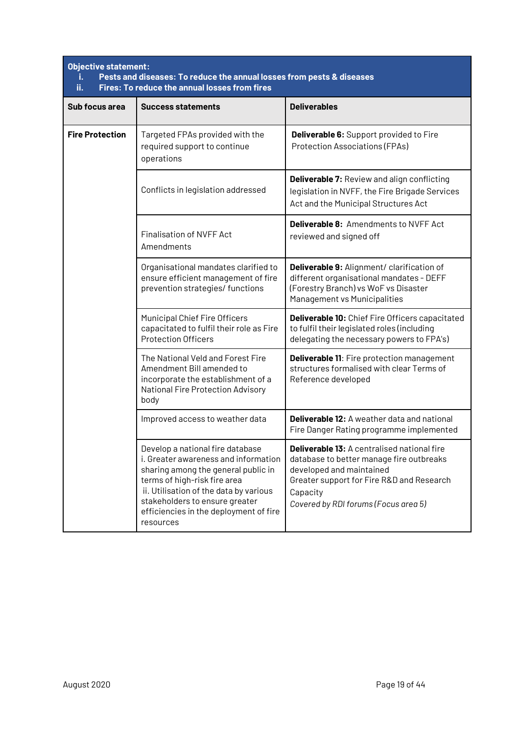| <b>Objective statement:</b><br>Pests and diseases: To reduce the annual losses from pests & diseases<br>i.<br>ii.<br><b>Fires: To reduce the annual losses from fires</b> |                                                                                                                                                                                                                                                                                    |                                                                                                                                                                                                                      |  |  |  |  |
|---------------------------------------------------------------------------------------------------------------------------------------------------------------------------|------------------------------------------------------------------------------------------------------------------------------------------------------------------------------------------------------------------------------------------------------------------------------------|----------------------------------------------------------------------------------------------------------------------------------------------------------------------------------------------------------------------|--|--|--|--|
| Sub focus area                                                                                                                                                            | <b>Success statements</b>                                                                                                                                                                                                                                                          | <b>Deliverables</b>                                                                                                                                                                                                  |  |  |  |  |
| <b>Fire Protection</b>                                                                                                                                                    | Targeted FPAs provided with the<br>required support to continue<br>operations                                                                                                                                                                                                      | <b>Deliverable 6:</b> Support provided to Fire<br><b>Protection Associations (FPAs)</b>                                                                                                                              |  |  |  |  |
|                                                                                                                                                                           | Conflicts in legislation addressed                                                                                                                                                                                                                                                 | <b>Deliverable 7:</b> Review and align conflicting<br>legislation in NVFF, the Fire Brigade Services<br>Act and the Municipal Structures Act                                                                         |  |  |  |  |
|                                                                                                                                                                           | Finalisation of NVFF Act<br>Amendments                                                                                                                                                                                                                                             | <b>Deliverable 8:</b> Amendments to NVFF Act<br>reviewed and signed off                                                                                                                                              |  |  |  |  |
|                                                                                                                                                                           | Organisational mandates clarified to<br>ensure efficient management of fire<br>prevention strategies/ functions                                                                                                                                                                    | Deliverable 9: Alignment/ clarification of<br>different organisational mandates - DEFF<br>(Forestry Branch) vs WoF vs Disaster<br>Management vs Municipalities                                                       |  |  |  |  |
|                                                                                                                                                                           | Municipal Chief Fire Officers<br>capacitated to fulfil their role as Fire<br><b>Protection Officers</b>                                                                                                                                                                            | Deliverable 10: Chief Fire Officers capacitated<br>to fulfil their legislated roles (including<br>delegating the necessary powers to FPA's)                                                                          |  |  |  |  |
|                                                                                                                                                                           | The National Veld and Forest Fire<br>Amendment Bill amended to<br>incorporate the establishment of a<br>National Fire Protection Advisory<br>body                                                                                                                                  | <b>Deliverable 11:</b> Fire protection management<br>structures formalised with clear Terms of<br>Reference developed                                                                                                |  |  |  |  |
|                                                                                                                                                                           | Improved access to weather data                                                                                                                                                                                                                                                    | <b>Deliverable 12:</b> A weather data and national<br>Fire Danger Rating programme implemented                                                                                                                       |  |  |  |  |
|                                                                                                                                                                           | Develop a national fire database<br>i. Greater awareness and information<br>sharing among the general public in<br>terms of high-risk fire area<br>ii. Utilisation of the data by various<br>stakeholders to ensure greater<br>efficiencies in the deployment of fire<br>resources | Deliverable 13: A centralised national fire<br>database to better manage fire outbreaks<br>developed and maintained<br>Greater support for Fire R&D and Research<br>Capacity<br>Covered by RDI forums (Focus area 5) |  |  |  |  |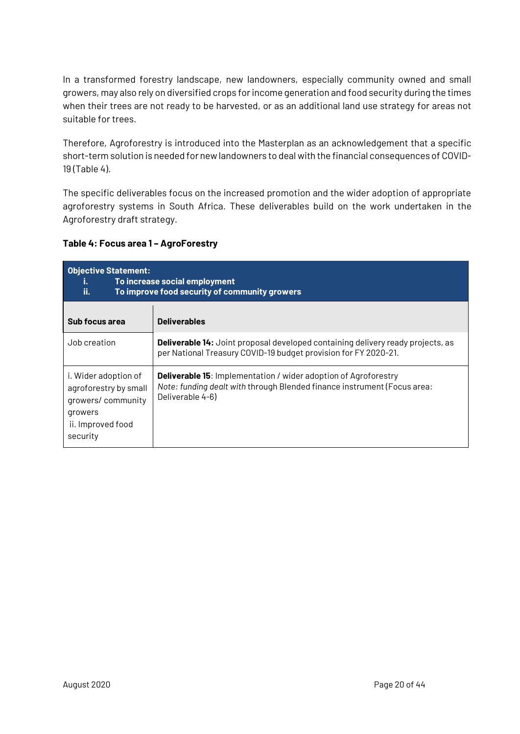In a transformed forestry landscape, new landowners, especially community owned and small growers, may also rely on diversified crops forincome generation and food security during the times when their trees are not ready to be harvested, or as an additional land use strategy for areas not suitable for trees.

Therefore, Agroforestry is introduced into the Masterplan as an acknowledgement that a specific short-term solution is needed for new landowners to deal with the financial consequences of COVID-19 (Table 4).

The specific deliverables focus on the increased promotion and the wider adoption of appropriate agroforestry systems in South Africa. These deliverables build on the work undertaken in the Agroforestry draft strategy.

### **Table 4: Focus area 1 – AgroForestry**

| <b>Objective Statement:</b><br>To increase social employment<br>i.<br>ii.<br>To improve food security of community growers |                                                                                                                                                                        |  |  |
|----------------------------------------------------------------------------------------------------------------------------|------------------------------------------------------------------------------------------------------------------------------------------------------------------------|--|--|
| Sub focus area                                                                                                             | <b>Deliverables</b>                                                                                                                                                    |  |  |
| Job creation                                                                                                               | <b>Deliverable 14:</b> Joint proposal developed containing delivery ready projects, as<br>per National Treasury COVID-19 budget provision for FY 2020-21.              |  |  |
| i. Wider adoption of<br>agroforestry by small<br>growers/community<br>growers<br>ii. Improved food<br>security             | <b>Deliverable 15:</b> Implementation / wider adoption of Agroforestry<br>Note: funding dealt with through Blended finance instrument (Focus area:<br>Deliverable 4-6) |  |  |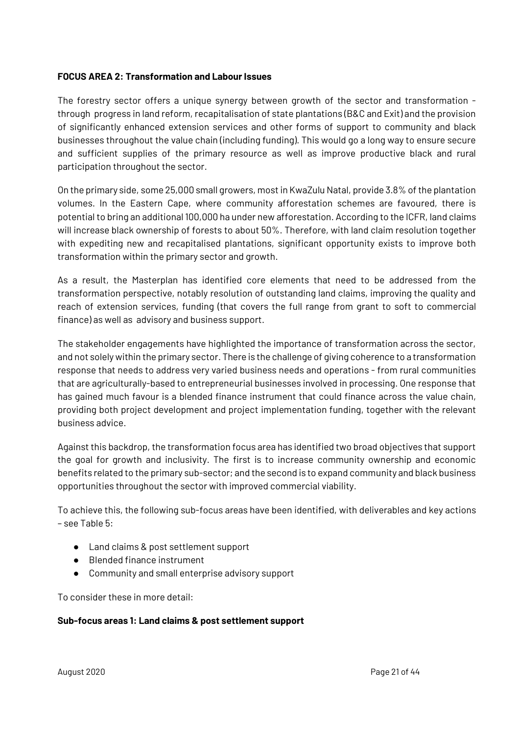#### **FOCUS AREA 2: Transformation and Labour Issues**

The forestry sector offers a unique synergy between growth of the sector and transformation through progress in land reform, recapitalisation of state plantations (B&C and Exit) and the provision of significantly enhanced extension services and other forms of support to community and black businesses throughout the value chain (including funding). This would go a long way to ensure secure and sufficient supplies of the primary resource as well as improve productive black and rural participation throughout the sector.

On the primary side, some 25,000 small growers, most in KwaZulu Natal, provide 3.8% of the plantation volumes. In the Eastern Cape, where community afforestation schemes are favoured, there is potential to bring an additional 100,000 ha under new afforestation. According to the ICFR, land claims will increase black ownership of forests to about 50%. Therefore, with land claim resolution together with expediting new and recapitalised plantations, significant opportunity exists to improve both transformation within the primary sector and growth.

As a result, the Masterplan has identified core elements that need to be addressed from the transformation perspective, notably resolution of outstanding land claims, improving the quality and reach of extension services, funding (that covers the full range from grant to soft to commercial finance) as well as advisory and business support.

The stakeholder engagements have highlighted the importance of transformation across the sector, and not solely within the primary sector. There is the challenge of giving coherence to a transformation response that needs to address very varied business needs and operations - from rural communities that are agriculturally-based to entrepreneurial businesses involved in processing. One response that has gained much favour is a blended finance instrument that could finance across the value chain, providing both project development and project implementation funding, together with the relevant business advice.

Against this backdrop, the transformation focus area has identified two broad objectives that support the goal for growth and inclusivity. The first is to increase community ownership and economic benefits related to the primary sub-sector; and the second is to expand community and black business opportunities throughout the sector with improved commercial viability.

To achieve this, the following sub-focus areas have been identified, with deliverables and key actions – see Table 5:

- Land claims & post settlement support
- Blended finance instrument
- Community and small enterprise advisory support

To consider these in more detail:

#### **Sub-focus areas 1: Land claims & post settlement support**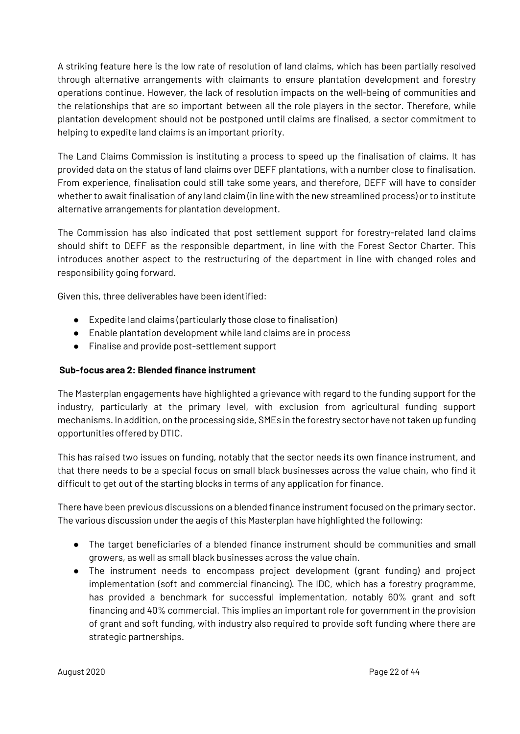A striking feature here is the low rate of resolution of land claims, which has been partially resolved through alternative arrangements with claimants to ensure plantation development and forestry operations continue. However, the lack of resolution impacts on the well-being of communities and the relationships that are so important between all the role players in the sector. Therefore, while plantation development should not be postponed until claims are finalised, a sector commitment to helping to expedite land claims is an important priority.

The Land Claims Commission is instituting a process to speed up the finalisation of claims. It has provided data on the status of land claims over DEFF plantations, with a number close to finalisation. From experience, finalisation could still take some years, and therefore, DEFF will have to consider whether to await finalisation of any land claim (in line with the new streamlined process) or to institute alternative arrangements for plantation development.

The Commission has also indicated that post settlement support for forestry-related land claims should shift to DEFF as the responsible department, in line with the Forest Sector Charter. This introduces another aspect to the restructuring of the department in line with changed roles and responsibility going forward.

Given this, three deliverables have been identified:

- Expedite land claims (particularly those close to finalisation)
- Enable plantation development while land claims are in process
- Finalise and provide post-settlement support

## **Sub-focus area 2: Blended finance instrument**

The Masterplan engagements have highlighted a grievance with regard to the funding support for the industry, particularly at the primary level, with exclusion from agricultural funding support mechanisms. In addition, on the processing side, SMEs in the forestry sector have not taken up funding opportunities offered by DTIC.

This has raised two issues on funding, notably that the sector needs its own finance instrument, and that there needs to be a special focus on small black businesses across the value chain, who find it difficult to get out of the starting blocks in terms of any application for finance.

There have been previous discussions on a blended finance instrument focused on the primary sector. The various discussion under the aegis of this Masterplan have highlighted the following:

- The target beneficiaries of a blended finance instrument should be communities and small growers, as well as small black businesses across the value chain.
- The instrument needs to encompass project development (grant funding) and project implementation (soft and commercial financing). The IDC, which has a forestry programme, has provided a benchmark for successful implementation, notably 60% grant and soft financing and 40% commercial. This implies an important role for government in the provision of grant and soft funding, with industry also required to provide soft funding where there are strategic partnerships.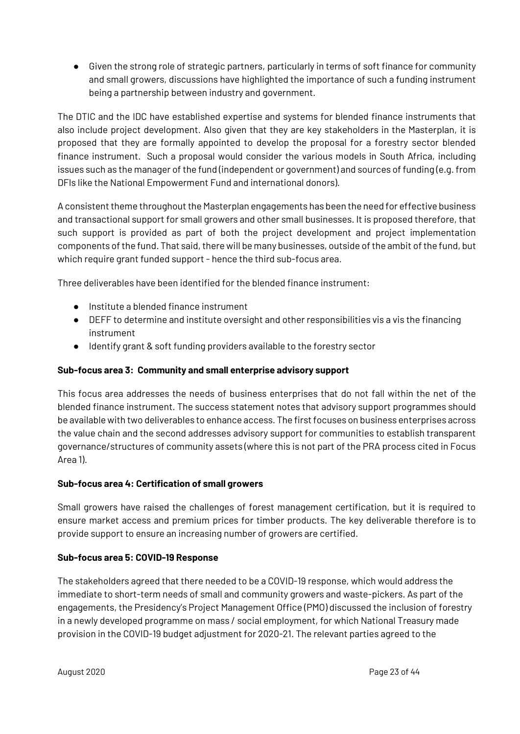● Given the strong role of strategic partners, particularly in terms of soft finance for community and small growers, discussions have highlighted the importance of such a funding instrument being a partnership between industry and government.

The DTIC and the IDC have established expertise and systems for blended finance instruments that also include project development. Also given that they are key stakeholders in the Masterplan, it is proposed that they are formally appointed to develop the proposal for a forestry sector blended finance instrument. Such a proposal would consider the various models in South Africa, including issues such as the manager of the fund (independent or government) and sources of funding (e.g. from DFIs like the National Empowerment Fund and international donors).

A consistent theme throughout the Masterplan engagements has been the need for effective business and transactional support for small growers and other small businesses. It is proposed therefore, that such support is provided as part of both the project development and project implementation components of the fund. That said, there will be many businesses, outside of the ambit of the fund, but which require grant funded support - hence the third sub-focus area.

Three deliverables have been identified for the blended finance instrument:

- Institute a blended finance instrument
- DEFF to determine and institute oversight and other responsibilities vis a vis the financing instrument
- Identify grant & soft funding providers available to the forestry sector

## **Sub-focus area 3: Community and small enterprise advisory support**

This focus area addresses the needs of business enterprises that do not fall within the net of the blended finance instrument. The success statement notes that advisory support programmes should be available with two deliverables to enhance access. The first focuses on business enterprises across the value chain and the second addresses advisory support for communities to establish transparent governance/structures of community assets (where this is not part of the PRA process cited in Focus Area 1).

## **Sub-focus area 4: Certification of small growers**

Small growers have raised the challenges of forest management certification, but it is required to ensure market access and premium prices for timber products. The key deliverable therefore is to provide support to ensure an increasing number of growers are certified.

## **Sub-focus area 5: COVID-19 Response**

The stakeholders agreed that there needed to be a COVID-19 response, which would address the immediate to short-term needs of small and community growers and waste-pickers. As part of the engagements, the Presidency's Project Management Office (PMO) discussed the inclusion of forestry in a newly developed programme on mass / social employment, for which National Treasury made provision in the COVID-19 budget adjustment for 2020-21. The relevant parties agreed to the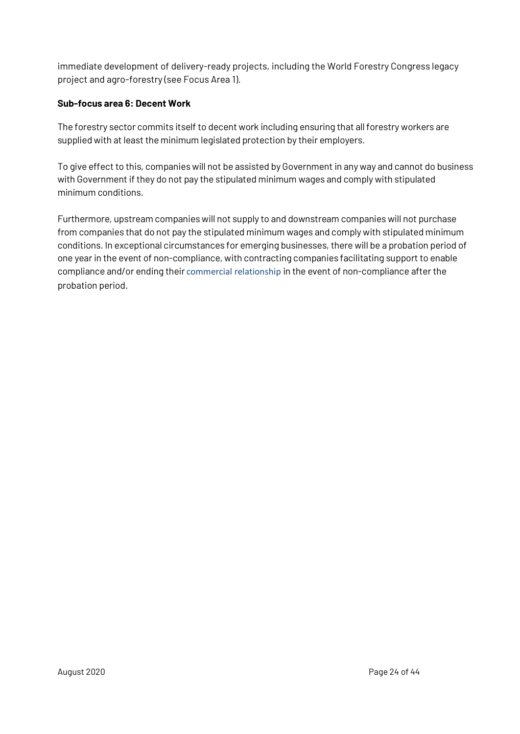immediate development of delivery-ready projects, including the World Forestry Congress legacy project and agro-forestry (see Focus Area 1).

## **Sub-focus area 6: Decent Work**

The forestry sector commits itself to decent work including ensuring that all forestry workers are supplied with at least the minimum legislated protection by their employers.

To give effect to this, companies will not be assisted by Government in any way and cannot do business with Government if they do not pay the stipulated minimum wages and comply with stipulated minimum conditions.

Furthermore, upstream companies will not supply to and downstream companies will not purchase from companies that do not pay the stipulated minimum wages and comply with stipulated minimum conditions. In exceptional circumstances for emerging businesses, there will be a probation period of one year in the event of non-compliance, with contracting companies facilitating support to enable compliance and/or ending their commercial relationship in the event of non-compliance after the probation period.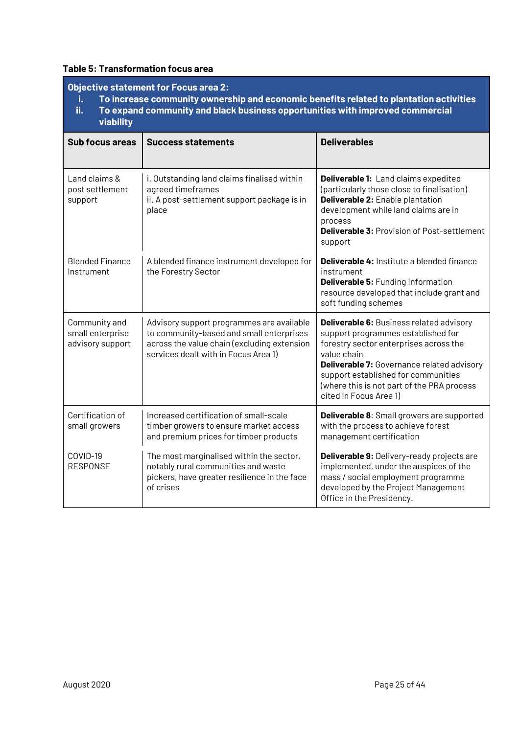# **Table 5: Transformation focus area**

| <b>Objective statement for Focus area 2:</b><br>To increase community ownership and economic benefits related to plantation activities<br>i.<br>ii.<br>To expand community and black business opportunities with improved commercial<br>viability |                                                                                                                                                                              |                                                                                                                                                                                                                                                                                                      |  |
|---------------------------------------------------------------------------------------------------------------------------------------------------------------------------------------------------------------------------------------------------|------------------------------------------------------------------------------------------------------------------------------------------------------------------------------|------------------------------------------------------------------------------------------------------------------------------------------------------------------------------------------------------------------------------------------------------------------------------------------------------|--|
| Sub focus areas                                                                                                                                                                                                                                   | <b>Success statements</b>                                                                                                                                                    | <b>Deliverables</b>                                                                                                                                                                                                                                                                                  |  |
| Land claims &<br>post settlement<br>support                                                                                                                                                                                                       | i. Outstanding land claims finalised within<br>agreed timeframes<br>ii. A post-settlement support package is in<br>place                                                     | Deliverable 1: Land claims expedited<br>(particularly those close to finalisation)<br>Deliverable 2: Enable plantation<br>development while land claims are in<br>process<br><b>Deliverable 3: Provision of Post-settlement</b><br>support                                                           |  |
| <b>Blended Finance</b><br>Instrument                                                                                                                                                                                                              | A blended finance instrument developed for<br>the Forestry Sector                                                                                                            | <b>Deliverable 4:</b> Institute a blended finance<br>instrument<br><b>Deliverable 5: Funding information</b><br>resource developed that include grant and<br>soft funding schemes                                                                                                                    |  |
| Community and<br>small enterprise<br>advisory support                                                                                                                                                                                             | Advisory support programmes are available<br>to community-based and small enterprises<br>across the value chain (excluding extension<br>services dealt with in Focus Area 1) | Deliverable 6: Business related advisory<br>support programmes established for<br>forestry sector enterprises across the<br>value chain<br>Deliverable 7: Governance related advisory<br>support established for communities<br>(where this is not part of the PRA process<br>cited in Focus Area 1) |  |
| Certification of<br>small growers                                                                                                                                                                                                                 | Increased certification of small-scale<br>timber growers to ensure market access<br>and premium prices for timber products                                                   | Deliverable 8: Small growers are supported<br>with the process to achieve forest<br>management certification                                                                                                                                                                                         |  |
| COVID-19<br><b>RESPONSE</b>                                                                                                                                                                                                                       | The most marginalised within the sector,<br>notably rural communities and waste<br>pickers, have greater resilience in the face<br>of crises                                 | Deliverable 9: Delivery-ready projects are<br>implemented, under the auspices of the<br>mass / social employment programme<br>developed by the Project Management<br>Office in the Presidency.                                                                                                       |  |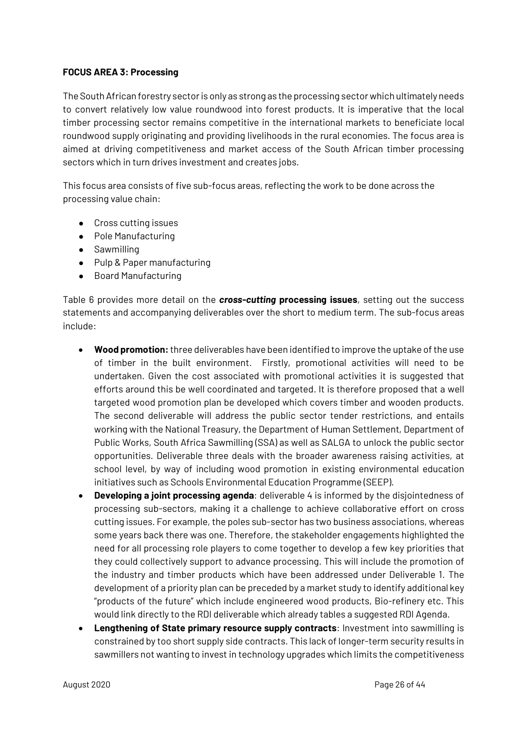#### **FOCUS AREA 3: Processing**

The South African forestry sector is only as strong as the processing sector which ultimately needs to convert relatively low value roundwood into forest products. It is imperative that the local timber processing sector remains competitive in the international markets to beneficiate local roundwood supply originating and providing livelihoods in the rural economies. The focus area is aimed at driving competitiveness and market access of the South African timber processing sectors which in turn drives investment and creates jobs.

This focus area consists of five sub-focus areas, reflecting the work to be done across the processing value chain:

- Cross cutting issues
- Pole Manufacturing
- Sawmilling
- Pulp & Paper manufacturing
- Board Manufacturing

Table 6 provides more detail on the *cross-cutting* **processing issues**, setting out the success statements and accompanying deliverables over the short to medium term. The sub-focus areas include:

- **Wood promotion:**three deliverables have been identified to improve the uptake of the use of timber in the built environment. Firstly, promotional activities will need to be undertaken. Given the cost associated with promotional activities it is suggested that efforts around this be well coordinated and targeted. It is therefore proposed that a well targeted wood promotion plan be developed which covers timber and wooden products. The second deliverable will address the public sector tender restrictions, and entails working with the National Treasury, the Department of Human Settlement, Department of Public Works, South Africa Sawmilling (SSA) as well as SALGA to unlock the public sector opportunities. Deliverable three deals with the broader awareness raising activities, at school level, by way of including wood promotion in existing environmental education initiatives such as Schools Environmental Education Programme (SEEP).
- **Developing a joint processing agenda**: deliverable 4 is informed by the disjointedness of processing sub-sectors, making it a challenge to achieve collaborative effort on cross cutting issues. For example, the poles sub-sector has two business associations, whereas some years back there was one. Therefore, the stakeholder engagements highlighted the need for all processing role players to come together to develop a few key priorities that they could collectively support to advance processing. This will include the promotion of the industry and timber products which have been addressed under Deliverable 1. The development of a priority plan can be preceded by a market study to identify additional key "products of the future" which include engineered wood products, Bio-refinery etc. This would link directly to the RDI deliverable which already tables a suggested RDI Agenda.
- **Lengthening of State primary resource supply contracts**: Investment into sawmilling is constrained by too short supply side contracts. This lack of longer-term security results in sawmillers not wanting to invest in technology upgrades which limits the competitiveness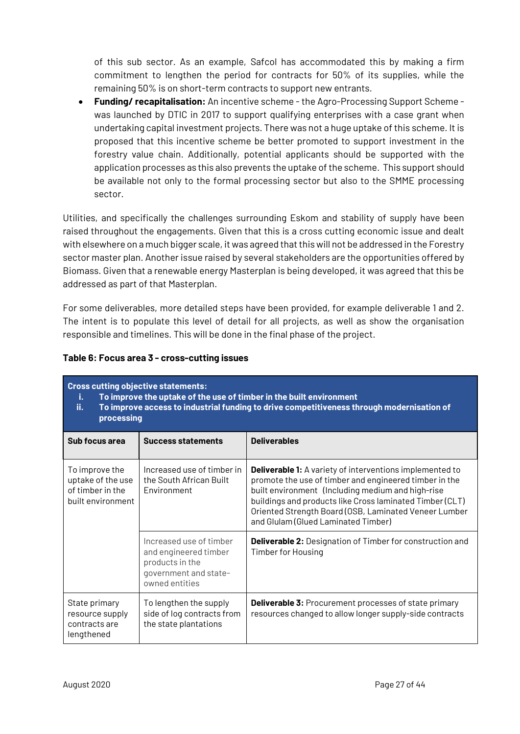of this sub sector. As an example, Safcol has accommodated this by making a firm commitment to lengthen the period for contracts for 50% of its supplies, while the remaining 50% is on short-term contracts to support new entrants.

• **Funding/ recapitalisation:** An incentive scheme - the Agro-Processing Support Scheme was launched by DTIC in 2017 to support qualifying enterprises with a case grant when undertaking capital investment projects. There was not a huge uptake of this scheme. It is proposed that this incentive scheme be better promoted to support investment in the forestry value chain. Additionally, potential applicants should be supported with the application processes as this also prevents the uptake of the scheme. This support should be available not only to the formal processing sector but also to the SMME processing sector.

Utilities, and specifically the challenges surrounding Eskom and stability of supply have been raised throughout the engagements. Given that this is a cross cutting economic issue and dealt with elsewhere on a much bigger scale, it was agreed that this will not be addressed in the Forestry sector master plan. Another issue raised by several stakeholders are the opportunities offered by Biomass. Given that a renewable energy Masterplan is being developed, it was agreed that this be addressed as part of that Masterplan.

For some deliverables, more detailed steps have been provided, for example deliverable 1 and 2. The intent is to populate this level of detail for all projects, as well as show the organisation responsible and timelines. This will be done in the final phase of the project.

| <b>Cross cutting objective statements:</b><br>To improve the uptake of the use of timber in the built environment<br>i.<br>ii.<br>To improve access to industrial funding to drive competitiveness through modernisation of<br>processing |                                                                                                                |                                                                                                                                                                                                                                                                                                                                            |  |
|-------------------------------------------------------------------------------------------------------------------------------------------------------------------------------------------------------------------------------------------|----------------------------------------------------------------------------------------------------------------|--------------------------------------------------------------------------------------------------------------------------------------------------------------------------------------------------------------------------------------------------------------------------------------------------------------------------------------------|--|
| Sub focus area                                                                                                                                                                                                                            | <b>Success statements</b>                                                                                      | <b>Deliverables</b>                                                                                                                                                                                                                                                                                                                        |  |
| To improve the<br>uptake of the use<br>of timber in the<br>built environment                                                                                                                                                              | Increased use of timber in<br>the South African Built<br>Environment                                           | <b>Deliverable 1:</b> A variety of interventions implemented to<br>promote the use of timber and engineered timber in the<br>built environment (Including medium and high-rise<br>buildings and products like Cross laminated Timber (CLT)<br>Oriented Strength Board (OSB, Laminated Veneer Lumber<br>and Glulam (Glued Laminated Timber) |  |
|                                                                                                                                                                                                                                           | Increased use of timber<br>and engineered timber<br>products in the<br>government and state-<br>owned entities | <b>Deliverable 2:</b> Designation of Timber for construction and<br><b>Timber for Housing</b>                                                                                                                                                                                                                                              |  |
| State primary<br>resource supply<br>contracts are<br>lengthened                                                                                                                                                                           | To lengthen the supply<br>side of log contracts from<br>the state plantations                                  | <b>Deliverable 3: Procurement processes of state primary</b><br>resources changed to allow longer supply-side contracts                                                                                                                                                                                                                    |  |

#### **Table 6: Focus area 3 - cross-cutting issues**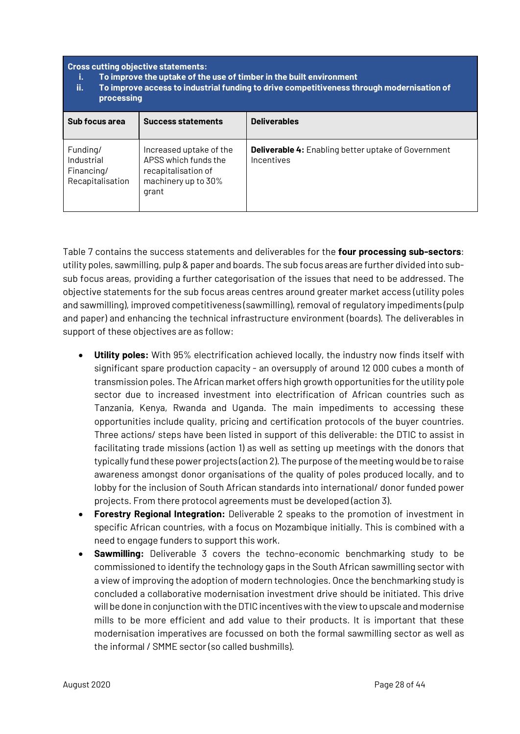#### **Cross cutting objective statements:**

- **i. To improve the uptake of the use of timber in the built environment**
- **ii. To improve access to industrial funding to drive competitiveness through modernisation of processing**

| Sub focus area                                           | <b>Success statements</b>                                                                              | <b>Deliverables</b>                                                      |
|----------------------------------------------------------|--------------------------------------------------------------------------------------------------------|--------------------------------------------------------------------------|
| Funding/<br>Industrial<br>Financing/<br>Recapitalisation | Increased uptake of the<br>APSS which funds the<br>recapitalisation of<br>machinery up to 30%<br>grant | <b>Deliverable 4:</b> Enabling better uptake of Government<br>Incentives |

Table 7 contains the success statements and deliverables for the **four processing sub-sectors**: utility poles, sawmilling, pulp & paper and boards. The sub focus areas are further divided into subsub focus areas, providing a further categorisation of the issues that need to be addressed. The objective statements for the sub focus areas centres around greater market access (utility poles and sawmilling), improved competitiveness (sawmilling), removal of regulatory impediments (pulp and paper) and enhancing the technical infrastructure environment (boards). The deliverables in support of these objectives are as follow:

- **Utility poles:** With 95% electrification achieved locally, the industry now finds itself with significant spare production capacity - an oversupply of around 12 000 cubes a month of transmission poles. The African market offers high growth opportunities for the utility pole sector due to increased investment into electrification of African countries such as Tanzania, Kenya, Rwanda and Uganda. The main impediments to accessing these opportunities include quality, pricing and certification protocols of the buyer countries. Three actions/ steps have been listed in support of this deliverable: the DTIC to assist in facilitating trade missions (action 1) as well as setting up meetings with the donors that typically fund these power projects (action 2). The purpose of the meeting would be to raise awareness amongst donor organisations of the quality of poles produced locally, and to lobby for the inclusion of South African standards into international/ donor funded power projects. From there protocol agreements must be developed (action 3).
- **Forestry Regional Integration:** Deliverable 2 speaks to the promotion of investment in specific African countries, with a focus on Mozambique initially. This is combined with a need to engage funders to support this work.
- **Sawmilling:** Deliverable 3 covers the techno-economic benchmarking study to be commissioned to identify the technology gaps in the South African sawmilling sector with a view of improving the adoption of modern technologies. Once the benchmarking study is concluded a collaborative modernisation investment drive should be initiated. This drive will be done in conjunction with the DTIC incentives with the view to upscale and modernise mills to be more efficient and add value to their products. It is important that these modernisation imperatives are focussed on both the formal sawmilling sector as well as the informal / SMME sector (so called bushmills).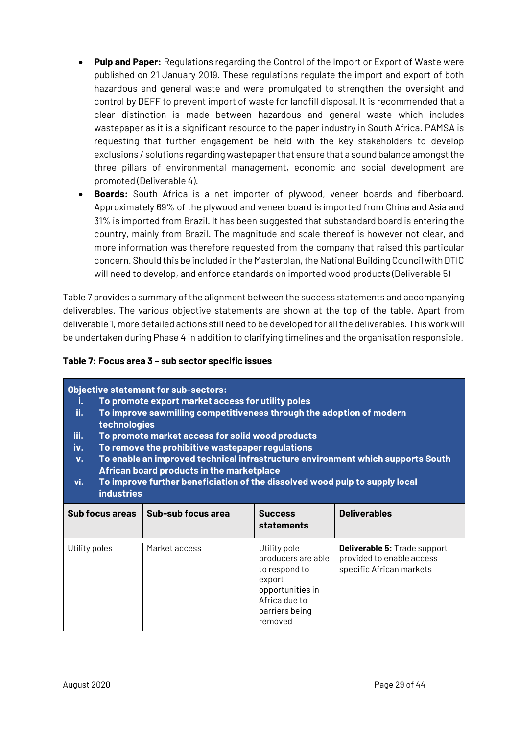- **Pulp and Paper:** Regulations regarding the Control of the Import or Export of Waste were published on 21 January 2019. These regulations regulate the import and export of both hazardous and general waste and were promulgated to strengthen the oversight and control by DEFF to prevent import of waste for landfill disposal. It is recommended that a clear distinction is made between hazardous and general waste which includes wastepaper as it is a significant resource to the paper industry in South Africa. PAMSA is requesting that further engagement be held with the key stakeholders to develop exclusions / solutions regarding wastepaper that ensure that a sound balance amongst the three pillars of environmental management, economic and social development are promoted (Deliverable 4).
- **Boards:** South Africa is a net importer of plywood, veneer boards and fiberboard. Approximately 69% of the plywood and veneer board is imported from China and Asia and 31% is imported from Brazil. It has been suggested that substandard board is entering the country, mainly from Brazil. The magnitude and scale thereof is however not clear, and more information was therefore requested from the company that raised this particular concern. Should this be included in the Masterplan, the National Building Council with DTIC will need to develop, and enforce standards on imported wood products (Deliverable 5)

Table 7 provides a summary of the alignment between the success statements and accompanying deliverables. The various objective statements are shown at the top of the table. Apart from deliverable 1, more detailed actions still need to be developed for all the deliverables. This work will be undertaken during Phase 4 in addition to clarifying timelines and the organisation responsible.

|  | Table 7: Focus area 3 - sub sector specific issues |  |  |  |  |
|--|----------------------------------------------------|--|--|--|--|
|--|----------------------------------------------------|--|--|--|--|

| <b>Objective statement for sub-sectors:</b><br>To promote export market access for utility poles<br>Ĭ.<br>ii.<br>To improve sawmilling competitiveness through the adoption of modern<br>technologies<br>iii.<br>To promote market access for solid wood products<br>iv.<br>To remove the prohibitive wastepaper regulations<br>To enable an improved technical infrastructure environment which supports South<br>V <sub>1</sub><br>African board products in the marketplace<br>To improve further beneficiation of the dissolved wood pulp to supply local<br>vi.<br><b>industries</b> |                    |                                                                                                                      |                                                                                              |
|-------------------------------------------------------------------------------------------------------------------------------------------------------------------------------------------------------------------------------------------------------------------------------------------------------------------------------------------------------------------------------------------------------------------------------------------------------------------------------------------------------------------------------------------------------------------------------------------|--------------------|----------------------------------------------------------------------------------------------------------------------|----------------------------------------------------------------------------------------------|
| <b>Sub focus areas</b>                                                                                                                                                                                                                                                                                                                                                                                                                                                                                                                                                                    | Sub-sub focus area | <b>Success</b><br>statements                                                                                         | <b>Deliverables</b>                                                                          |
| Utility poles                                                                                                                                                                                                                                                                                                                                                                                                                                                                                                                                                                             | Market access      | Utility pole<br>producers are able<br>to respond to<br>export<br>opportunities in<br>Africa due to<br>barriers being | <b>Deliverable 5: Trade support</b><br>provided to enable access<br>specific African markets |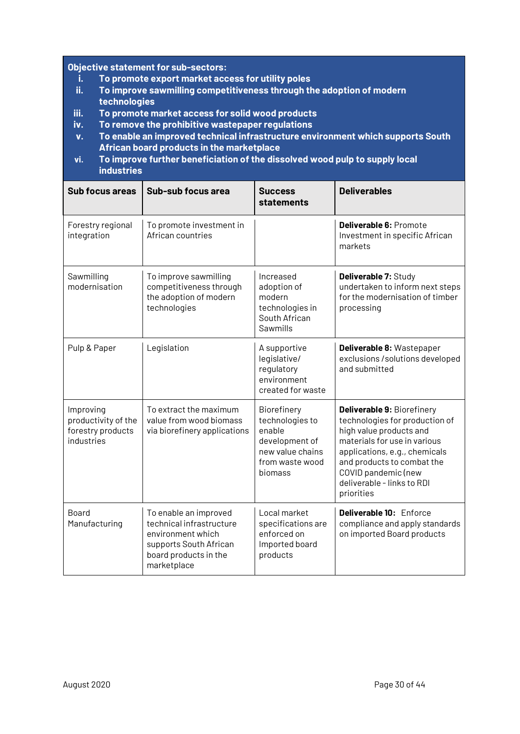| <b>Objective statement for sub-sectors:</b><br>To promote export market access for utility poles<br>ı.<br>ii.<br>To improve sawmilling competitiveness through the adoption of modern<br>technologies<br>iii.<br>To promote market access for solid wood products<br>To remove the prohibitive wastepaper regulations<br>iv.<br>To enable an improved technical infrastructure environment which supports South<br>v.<br>African board products in the marketplace<br>To improve further beneficiation of the dissolved wood pulp to supply local<br>vi.<br><b>industries</b> |                                                                                                                                          |                                                                                                              |                                                                                                                                                                                                                                                           |  |
|-------------------------------------------------------------------------------------------------------------------------------------------------------------------------------------------------------------------------------------------------------------------------------------------------------------------------------------------------------------------------------------------------------------------------------------------------------------------------------------------------------------------------------------------------------------------------------|------------------------------------------------------------------------------------------------------------------------------------------|--------------------------------------------------------------------------------------------------------------|-----------------------------------------------------------------------------------------------------------------------------------------------------------------------------------------------------------------------------------------------------------|--|
| <b>Sub focus areas</b>                                                                                                                                                                                                                                                                                                                                                                                                                                                                                                                                                        | Sub-sub focus area                                                                                                                       | <b>Success</b><br><b>statements</b>                                                                          | <b>Deliverables</b>                                                                                                                                                                                                                                       |  |
| Forestry regional<br>integration                                                                                                                                                                                                                                                                                                                                                                                                                                                                                                                                              | To promote investment in<br>African countries                                                                                            |                                                                                                              | <b>Deliverable 6: Promote</b><br>Investment in specific African<br>markets                                                                                                                                                                                |  |
| Sawmilling<br>modernisation                                                                                                                                                                                                                                                                                                                                                                                                                                                                                                                                                   | To improve sawmilling<br>competitiveness through<br>the adoption of modern<br>technologies                                               | Increased<br>adoption of<br>modern<br>technologies in<br>South African<br>Sawmills                           | Deliverable 7: Study<br>undertaken to inform next steps<br>for the modernisation of timber<br>processing                                                                                                                                                  |  |
| Pulp & Paper                                                                                                                                                                                                                                                                                                                                                                                                                                                                                                                                                                  | Legislation                                                                                                                              | A supportive<br>legislative/<br>regulatory<br>environment<br>created for waste                               | Deliverable 8: Wastepaper<br>exclusions / solutions developed<br>and submitted                                                                                                                                                                            |  |
| Improving<br>productivity of the<br>forestry products<br>industries                                                                                                                                                                                                                                                                                                                                                                                                                                                                                                           | To extract the maximum<br>value from wood biomass<br>via biorefinery applications                                                        | Biorefinery<br>technologies to<br>enable<br>development of<br>new value chains<br>from waste wood<br>biomass | Deliverable 9: Biorefinery<br>technologies for production of<br>high value products and<br>materials for use in various<br>applications, e.g., chemicals<br>and products to combat the<br>COVID pandemic (new<br>deliverable - links to RDI<br>priorities |  |
| Board<br>Manufacturing                                                                                                                                                                                                                                                                                                                                                                                                                                                                                                                                                        | To enable an improved<br>technical infrastructure<br>environment which<br>supports South African<br>board products in the<br>marketplace | Local market<br>specifications are<br>enforced on<br>Imported board<br>products                              | Deliverable 10: Enforce<br>compliance and apply standards<br>on imported Board products                                                                                                                                                                   |  |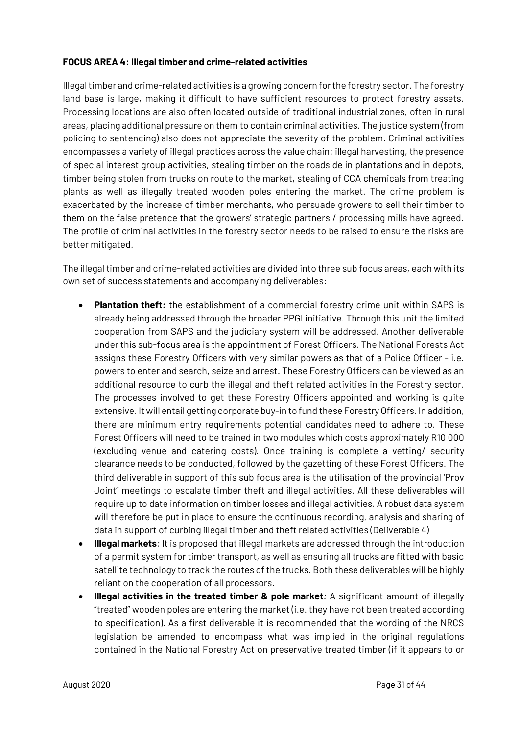#### **FOCUS AREA 4: Illegal timber and crime-related activities**

Illegal timber and crime-related activities is a growing concern for the forestry sector. The forestry land base is large, making it difficult to have sufficient resources to protect forestry assets. Processing locations are also often located outside of traditional industrial zones, often in rural areas, placing additional pressure on them to contain criminal activities. The justice system (from policing to sentencing) also does not appreciate the severity of the problem. Criminal activities encompasses a variety of illegal practices across the value chain: illegal harvesting, the presence of special interest group activities, stealing timber on the roadside in plantations and in depots, timber being stolen from trucks on route to the market, stealing of CCA chemicals from treating plants as well as illegally treated wooden poles entering the market. The crime problem is exacerbated by the increase of timber merchants, who persuade growers to sell their timber to them on the false pretence that the growers' strategic partners / processing mills have agreed. The profile of criminal activities in the forestry sector needs to be raised to ensure the risks are better mitigated.

The illegal timber and crime-related activities are divided into three sub focus areas, each with its own set of success statements and accompanying deliverables:

- **Plantation theft:** the establishment of a commercial forestry crime unit within SAPS is already being addressed through the broader PPGI initiative. Through this unit the limited cooperation from SAPS and the judiciary system will be addressed. Another deliverable under this sub-focus area is the appointment of Forest Officers. The National Forests Act assigns these Forestry Officers with very similar powers as that of a Police Officer - i.e. powers to enter and search, seize and arrest. These Forestry Officers can be viewed as an additional resource to curb the illegal and theft related activities in the Forestry sector. The processes involved to get these Forestry Officers appointed and working is quite extensive. It will entail getting corporate buy-in to fund these Forestry Officers. In addition, there are minimum entry requirements potential candidates need to adhere to. These Forest Officers will need to be trained in two modules which costs approximately R10 000 (excluding venue and catering costs). Once training is complete a vetting/ security clearance needs to be conducted, followed by the gazetting of these Forest Officers. The third deliverable in support of this sub focus area is the utilisation of the provincial 'Prov Joint" meetings to escalate timber theft and illegal activities. All these deliverables will require up to date information on timber losses and illegal activities. A robust data system will therefore be put in place to ensure the continuous recording, analysis and sharing of data in support of curbing illegal timber and theft related activities (Deliverable 4)
- **Illegal markets***:* It is proposed that illegal markets are addressed through the introduction of a permit system for timber transport, as well as ensuring all trucks are fitted with basic satellite technology to track the routes of the trucks. Both these deliverables will be highly reliant on the cooperation of all processors.
- **Illegal activities in the treated timber & pole market***:* A significant amount of illegally "treated" wooden poles are entering the market (i.e. they have not been treated according to specification). As a first deliverable it is recommended that the wording of the NRCS legislation be amended to encompass what was implied in the original regulations contained in the National Forestry Act on preservative treated timber (if it appears to or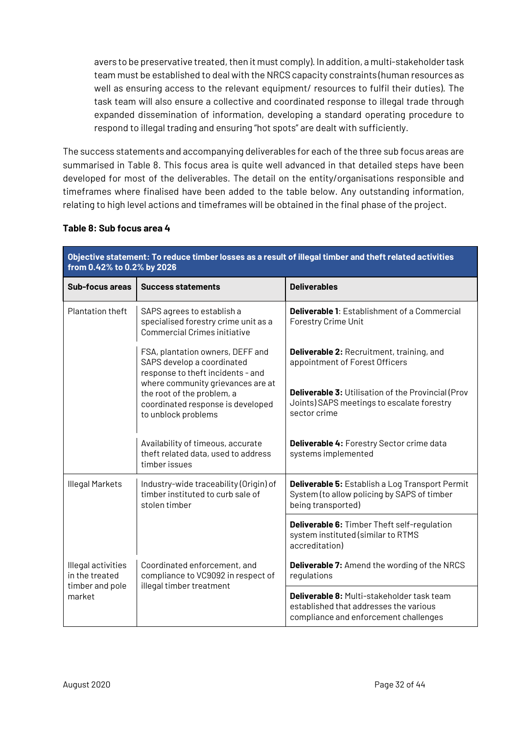avers to be preservative treated, then it must comply). In addition, a multi-stakeholder task team must be established to deal with the NRCS capacity constraints (human resources as well as ensuring access to the relevant equipment/ resources to fulfil their duties). The task team will also ensure a collective and coordinated response to illegal trade through expanded dissemination of information, developing a standard operating procedure to respond to illegal trading and ensuring "hot spots" are dealt with sufficiently.

The success statements and accompanying deliverables for each of the three sub focus areas are summarised in Table 8. This focus area is quite well advanced in that detailed steps have been developed for most of the deliverables. The detail on the entity/organisations responsible and timeframes where finalised have been added to the table below. Any outstanding information, relating to high level actions and timeframes will be obtained in the final phase of the project.

| Objective statement: To reduce timber losses as a result of illegal timber and theft related activities<br>from 0.42% to 0.2% by 2026 |                                                                                                                             |                                                                                                                                      |  |
|---------------------------------------------------------------------------------------------------------------------------------------|-----------------------------------------------------------------------------------------------------------------------------|--------------------------------------------------------------------------------------------------------------------------------------|--|
| <b>Sub-focus areas</b>                                                                                                                | <b>Success statements</b>                                                                                                   | <b>Deliverables</b>                                                                                                                  |  |
| Plantation theft                                                                                                                      | SAPS agrees to establish a<br>specialised forestry crime unit as a<br><b>Commercial Crimes initiative</b>                   | <b>Deliverable 1: Establishment of a Commercial</b><br>Forestry Crime Unit                                                           |  |
|                                                                                                                                       | FSA, plantation owners, DEFF and<br>SAPS develop a coordinated<br>response to theft incidents - and                         | Deliverable 2: Recruitment, training, and<br>appointment of Forest Officers                                                          |  |
|                                                                                                                                       | where community grievances are at<br>the root of the problem, a<br>coordinated response is developed<br>to unblock problems | <b>Deliverable 3: Utilisation of the Provincial (Prov</b><br>Joints) SAPS meetings to escalate forestry<br>sector crime              |  |
|                                                                                                                                       | Availability of timeous, accurate<br>theft related data, used to address<br>timber issues                                   | Deliverable 4: Forestry Sector crime data<br>systems implemented                                                                     |  |
| <b>Illegal Markets</b>                                                                                                                | Industry-wide traceability (Origin) of<br>timber instituted to curb sale of<br>stolen timber                                | <b>Deliverable 5:</b> Establish a Log Transport Permit<br>System (to allow policing by SAPS of timber<br>being transported)          |  |
|                                                                                                                                       |                                                                                                                             | <b>Deliverable 6:</b> Timber Theft self-regulation<br>system instituted (similar to RTMS<br>accreditation)                           |  |
| Illegal activities<br>in the treated                                                                                                  | Coordinated enforcement, and<br>compliance to VC9092 in respect of<br>illegal timber treatment                              | <b>Deliverable 7:</b> Amend the wording of the NRCS<br>regulations                                                                   |  |
| timber and pole<br>market                                                                                                             |                                                                                                                             | <b>Deliverable 8: Multi-stakeholder task team</b><br>established that addresses the various<br>compliance and enforcement challenges |  |

#### **Table 8: Sub focus area 4**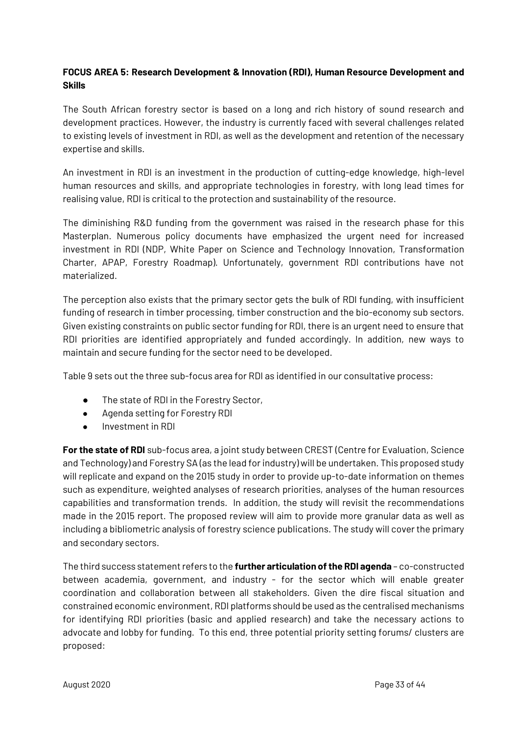## **FOCUS AREA 5: Research Development & Innovation (RDI), Human Resource Development and Skills**

The South African forestry sector is based on a long and rich history of sound research and development practices. However, the industry is currently faced with several challenges related to existing levels of investment in RDI, as well as the development and retention of the necessary expertise and skills.

An investment in RDI is an investment in the production of cutting-edge knowledge, high-level human resources and skills, and appropriate technologies in forestry, with long lead times for realising value, RDI is critical to the protection and sustainability of the resource.

The diminishing R&D funding from the government was raised in the research phase for this Masterplan. Numerous policy documents have emphasized the urgent need for increased investment in RDI (NDP, White Paper on Science and Technology Innovation, Transformation Charter, APAP, Forestry Roadmap). Unfortunately, government RDI contributions have not materialized.

The perception also exists that the primary sector gets the bulk of RDI funding, with insufficient funding of research in timber processing, timber construction and the bio-economy sub sectors. Given existing constraints on public sector funding for RDI, there is an urgent need to ensure that RDI priorities are identified appropriately and funded accordingly. In addition, new ways to maintain and secure funding for the sector need to be developed.

Table 9 sets out the three sub-focus area for RDI as identified in our consultative process:

- The state of RDI in the Forestry Sector,
- Agenda setting for Forestry RDI
- Investment in RDI

**For the state of RDI** sub-focus area, a joint study between CREST (Centre for Evaluation, Science and Technology) and Forestry SA (as the lead for industry) will be undertaken. This proposed study will replicate and expand on the 2015 study in order to provide up-to-date information on themes such as expenditure, weighted analyses of research priorities, analyses of the human resources capabilities and transformation trends. In addition, the study will revisit the recommendations made in the 2015 report. The proposed review will aim to provide more granular data as well as including a bibliometric analysis of forestry science publications. The study will cover the primary and secondary sectors.

The third success statement refers to the **further articulation of the RDI agenda** – co-constructed between academia, government, and industry - for the sector which will enable greater coordination and collaboration between all stakeholders. Given the dire fiscal situation and constrained economic environment, RDI platforms should be used as the centralised mechanisms for identifying RDI priorities (basic and applied research) and take the necessary actions to advocate and lobby for funding. To this end, three potential priority setting forums/ clusters are proposed: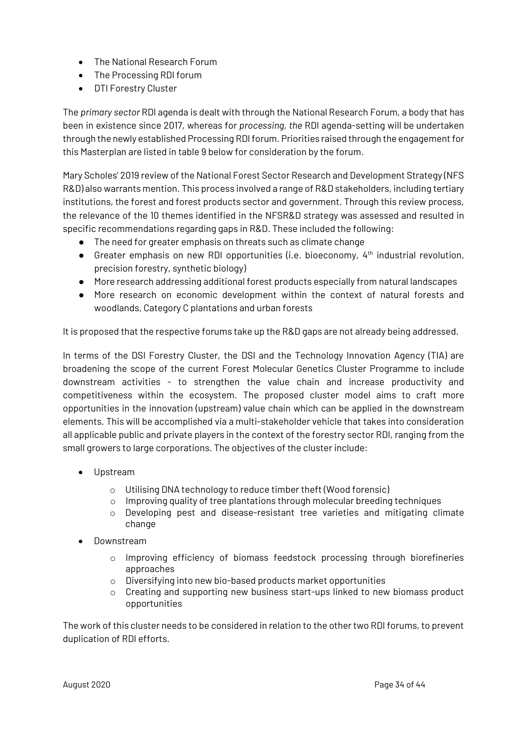- The National Research Forum
- The Processing RDI forum
- DTI Forestry Cluster

The *primary sector* RDI agenda is dealt with through the National Research Forum, a body that has been in existence since 2017, whereas for *processing, the* RDI agenda-setting will be undertaken through the newly established Processing RDI forum. Priorities raised through the engagement for this Masterplan are listed in table 9 below for consideration by the forum.

Mary Scholes' 2019 review of the National Forest Sector Research and Development Strategy (NFS R&D) also warrants mention. This process involved a range of R&D stakeholders, including tertiary institutions, the forest and forest products sector and government. Through this review process, the relevance of the 10 themes identified in the NFSR&D strategy was assessed and resulted in specific recommendations regarding gaps in R&D. These included the following:

- The need for greater emphasis on threats such as climate change
- $\bullet$  Greater emphasis on new RDI opportunities (i.e. bioeconomy,  $4<sup>th</sup>$  industrial revolution, precision forestry, synthetic biology)
- More research addressing additional forest products especially from natural landscapes
- More research on economic development within the context of natural forests and woodlands, Category C plantations and urban forests

It is proposed that the respective forums take up the R&D gaps are not already being addressed.

In terms of the DSI Forestry Cluster, the DSI and the Technology Innovation Agency (TIA) are broadening the scope of the current Forest Molecular Genetics Cluster Programme to include downstream activities - to strengthen the value chain and increase productivity and competitiveness within the ecosystem. The proposed cluster model aims to craft more opportunities in the innovation (upstream) value chain which can be applied in the downstream elements. This will be accomplished via a multi-stakeholder vehicle that takes into consideration all applicable public and private players in the context of the forestry sector RDI, ranging from the small growers to large corporations. The objectives of the cluster include:

- Upstream
	- o Utilising DNA technology to reduce timber theft (Wood forensic)
	- $\circ$  Improving quality of tree plantations through molecular breeding techniques
	- o Developing pest and disease-resistant tree varieties and mitigating climate change
- Downstream
	- o Improving efficiency of biomass feedstock processing through biorefineries approaches
	- o Diversifying into new bio-based products market opportunities
	- $\circ$  Creating and supporting new business start-ups linked to new biomass product opportunities

The work of this cluster needs to be considered in relation to the other two RDI forums, to prevent duplication of RDI efforts.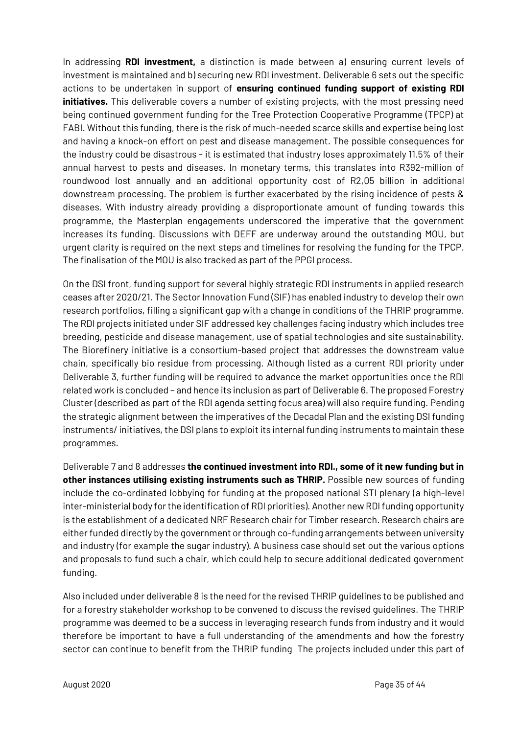In addressing **RDI investment,** a distinction is made between a) ensuring current levels of investment is maintained and b) securing new RDI investment. Deliverable 6 sets out the specific actions to be undertaken in support of **ensuring continued funding support of existing RDI initiatives.** This deliverable covers a number of existing projects, with the most pressing need being continued government funding for the Tree Protection Cooperative Programme (TPCP) at FABI. Without this funding, there is the risk of much-needed scarce skills and expertise being lost and having a knock-on effort on pest and disease management. The possible consequences for the industry could be disastrous - it is estimated that industry loses approximately 11.5% of their annual harvest to pests and diseases. In monetary terms, this translates into R392-million of roundwood lost annually and an additional opportunity cost of R2,05 billion in additional downstream processing. The problem is further exacerbated by the rising incidence of pests & diseases. With industry already providing a disproportionate amount of funding towards this programme, the Masterplan engagements underscored the imperative that the government increases its funding. Discussions with DEFF are underway around the outstanding MOU, but urgent clarity is required on the next steps and timelines for resolving the funding for the TPCP. The finalisation of the MOU is also tracked as part of the PPGI process.

On the DSI front, funding support for several highly strategic RDI instruments in applied research ceases after 2020/21. The Sector Innovation Fund (SIF) has enabled industry to develop their own research portfolios, filling a significant gap with a change in conditions of the THRIP programme. The RDI projects initiated under SIF addressed key challenges facing industry which includes tree breeding, pesticide and disease management, use of spatial technologies and site sustainability. The Biorefinery initiative is a consortium-based project that addresses the downstream value chain, specifically bio residue from processing. Although listed as a current RDI priority under Deliverable 3, further funding will be required to advance the market opportunities once the RDI related work is concluded – and hence its inclusion as part of Deliverable 6. The proposed Forestry Cluster (described as part of the RDI agenda setting focus area) will also require funding. Pending the strategic alignment between the imperatives of the Decadal Plan and the existing DSI funding instruments/ initiatives, the DSI plans to exploit its internal funding instruments to maintain these programmes.

Deliverable 7 and 8 addresses **the continued investment into RDI., some of it new funding but in other instances utilising existing instruments such as THRIP.** Possible new sources of funding include the co-ordinated lobbying for funding at the proposed national STI plenary (a high-level inter-ministerial body for the identification of RDI priorities). Another new RDI funding opportunity is the establishment of a dedicated NRF Research chair for Timber research. Research chairs are either funded directly by the government or through co-funding arrangements between university and industry (for example the sugar industry). A business case should set out the various options and proposals to fund such a chair, which could help to secure additional dedicated government funding.

Also included under deliverable 8 is the need for the revised THRIP guidelines to be published and for a forestry stakeholder workshop to be convened to discuss the revised guidelines. The THRIP programme was deemed to be a success in leveraging research funds from industry and it would therefore be important to have a full understanding of the amendments and how the forestry sector can continue to benefit from the THRIP funding The projects included under this part of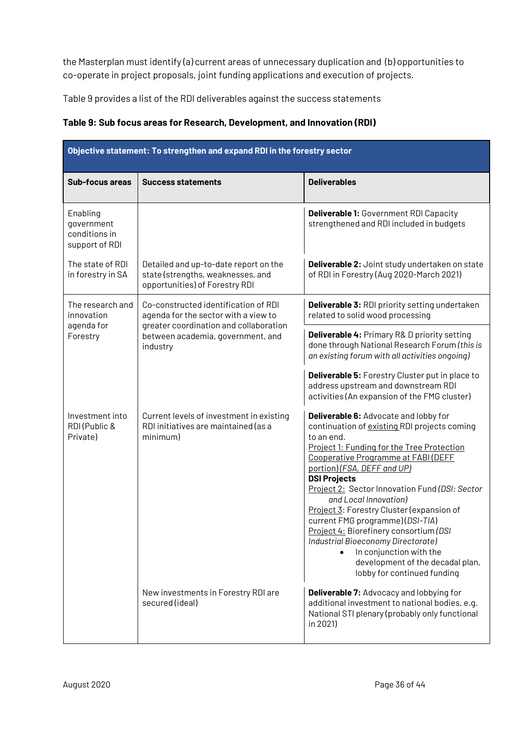the Masterplan must identify (a) current areas of unnecessary duplication and (b) opportunities to co-operate in project proposals, joint funding applications and execution of projects.

Table 9 provides a list of the RDI deliverables against the success statements

## **Table 9: Sub focus areas for Research, Development, and Innovation (RDI)**

| Objective statement: To strengthen and expand RDI in the forestry sector |                                                                                                              |                                                                                                                                                                                                                                                                                                                                                                                                                                                                                                                                                                                                |  |
|--------------------------------------------------------------------------|--------------------------------------------------------------------------------------------------------------|------------------------------------------------------------------------------------------------------------------------------------------------------------------------------------------------------------------------------------------------------------------------------------------------------------------------------------------------------------------------------------------------------------------------------------------------------------------------------------------------------------------------------------------------------------------------------------------------|--|
| <b>Sub-focus areas</b>                                                   | <b>Success statements</b>                                                                                    | <b>Deliverables</b>                                                                                                                                                                                                                                                                                                                                                                                                                                                                                                                                                                            |  |
| Enabling<br>government<br>conditions in<br>support of RDI                |                                                                                                              | <b>Deliverable 1: Government RDI Capacity</b><br>strengthened and RDI included in budgets                                                                                                                                                                                                                                                                                                                                                                                                                                                                                                      |  |
| The state of RDI<br>in forestry in SA                                    | Detailed and up-to-date report on the<br>state (strengths, weaknesses, and<br>opportunities) of Forestry RDI | Deliverable 2: Joint study undertaken on state<br>of RDI in Forestry (Aug 2020-March 2021)                                                                                                                                                                                                                                                                                                                                                                                                                                                                                                     |  |
| The research and<br>innovation<br>agenda for<br>Forestry                 | Co-constructed identification of RDI<br>agenda for the sector with a view to                                 | <b>Deliverable 3: RDI priority setting undertaken</b><br>related to solid wood processing                                                                                                                                                                                                                                                                                                                                                                                                                                                                                                      |  |
|                                                                          | greater coordination and collaboration<br>between academia, government, and<br>industry                      | <b>Deliverable 4: Primary R&amp; D priority setting</b><br>done through National Research Forum (this is<br>an existing forum with all activities ongoing)                                                                                                                                                                                                                                                                                                                                                                                                                                     |  |
|                                                                          |                                                                                                              | <b>Deliverable 5: Forestry Cluster put in place to</b><br>address upstream and downstream RDI<br>activities (An expansion of the FMG cluster)                                                                                                                                                                                                                                                                                                                                                                                                                                                  |  |
| Investment into<br>RDI (Public &<br>Private)                             | Current levels of investment in existing<br>RDI initiatives are maintained (as a<br>minimum)                 | <b>Deliverable 6: Advocate and lobby for</b><br>continuation of existing RDI projects coming<br>to an end.<br>Project 1: Funding for the Tree Protection<br>Cooperative Programme at FABI (DEFF<br>portion) (FSA, DEFF and UP)<br><b>DSI Projects</b><br>Project 2: Sector Innovation Fund (DSI: Sector<br>and Local Innovation)<br>Project 3: Forestry Cluster (expansion of<br>current FMG programme)(DSI-TIA)<br>Project 4: Biorefinery consortium (DSI<br>Industrial Bioeconomy Directorate)<br>In conjunction with the<br>development of the decadal plan,<br>lobby for continued funding |  |
|                                                                          | New investments in Forestry RDI are<br>secured (ideal)                                                       | <b>Deliverable 7: Advocacy and lobbying for</b><br>additional investment to national bodies, e.g.<br>National STI plenary (probably only functional<br>in 2021)                                                                                                                                                                                                                                                                                                                                                                                                                                |  |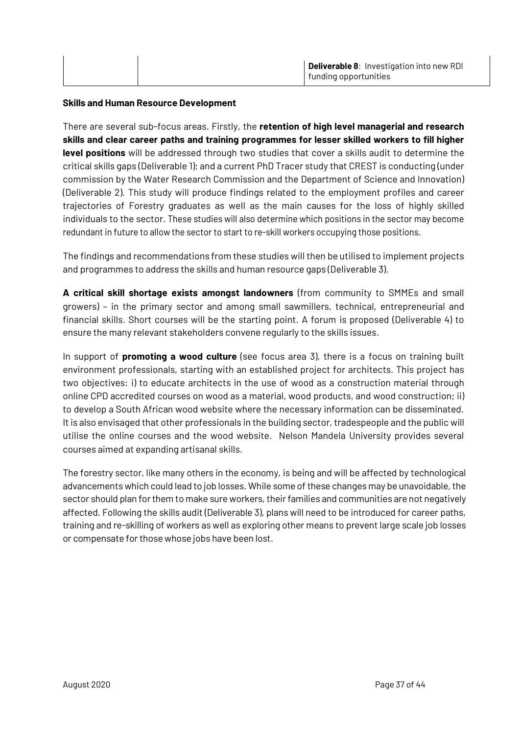#### **Skills and Human Resource Development**

There are several sub-focus areas. Firstly, the **retention of high level managerial and research skills and clear career paths and training programmes for lesser skilled workers to fill higher level positions** will be addressed through two studies that cover a skills audit to determine the critical skills gaps (Deliverable 1); and a current PhD Tracer study that CREST is conducting (under commission by the Water Research Commission and the Department of Science and Innovation) (Deliverable 2). This study will produce findings related to the employment profiles and career trajectories of Forestry graduates as well as the main causes for the loss of highly skilled individuals to the sector. These studies will also determine which positions in the sector may become redundant in future to allow the sector to start to re-skill workers occupying those positions.

The findings and recommendations from these studies will then be utilised to implement projects and programmes to address the skills and human resource gaps (Deliverable 3).

**A critical skill shortage exists amongst landowners** (from community to SMMEs and small growers) – in the primary sector and among small sawmillers, technical, entrepreneurial and financial skills. Short courses will be the starting point. A forum is proposed (Deliverable 4) to ensure the many relevant stakeholders convene regularly to the skills issues.

In support of **promoting a wood culture** (see focus area 3), there is a focus on training built environment professionals, starting with an established project for architects. This project has two objectives: i) to educate architects in the use of wood as a construction material through online CPD accredited courses on wood as a material, wood products, and wood construction; ii) to develop a South African wood website where the necessary information can be disseminated. It is also envisaged that other professionals in the building sector, tradespeople and the public will utilise the online courses and the wood website. Nelson Mandela University provides several courses aimed at expanding artisanal skills.

The forestry sector, like many others in the economy, is being and will be affected by technological advancements which could lead to job losses. While some of these changes may be unavoidable, the sector should plan for them to make sure workers, their families and communities are not negatively affected. Following the skills audit (Deliverable 3), plans will need to be introduced for career paths, training and re-skilling of workers as well as exploring other means to prevent large scale job losses or compensate for those whose jobs have been lost.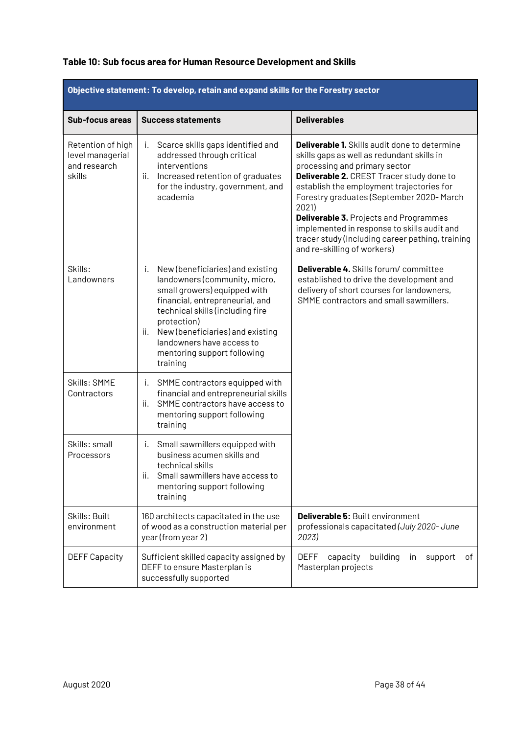| Objective statement: To develop, retain and expand skills for the Forestry sector |                                                                                                                                                                                                                                                                                                                  |                                                                                                                                                                                                                                                                                                                                                                                                                                                                        |  |
|-----------------------------------------------------------------------------------|------------------------------------------------------------------------------------------------------------------------------------------------------------------------------------------------------------------------------------------------------------------------------------------------------------------|------------------------------------------------------------------------------------------------------------------------------------------------------------------------------------------------------------------------------------------------------------------------------------------------------------------------------------------------------------------------------------------------------------------------------------------------------------------------|--|
| Sub-focus areas                                                                   | <b>Success statements</b>                                                                                                                                                                                                                                                                                        | <b>Deliverables</b>                                                                                                                                                                                                                                                                                                                                                                                                                                                    |  |
| Retention of high<br>level managerial<br>and research<br>skills                   | Scarce skills gaps identified and<br>i.<br>addressed through critical<br>interventions<br>Increased retention of graduates<br>ii.<br>for the industry, government, and<br>academia                                                                                                                               | <b>Deliverable 1.</b> Skills audit done to determine<br>skills gaps as well as redundant skills in<br>processing and primary sector<br>Deliverable 2. CREST Tracer study done to<br>establish the employment trajectories for<br>Forestry graduates (September 2020- March<br>2021)<br><b>Deliverable 3. Projects and Programmes</b><br>implemented in response to skills audit and<br>tracer study (Including career pathing, training<br>and re-skilling of workers) |  |
| Skills:<br>Landowners                                                             | New (beneficiaries) and existing<br>i.<br>landowners (community, micro,<br>small growers) equipped with<br>financial, entrepreneurial, and<br>technical skills (including fire<br>protection)<br>New (beneficiaries) and existing<br>ii.<br>landowners have access to<br>mentoring support following<br>training | <b>Deliverable 4. Skills forum/ committee</b><br>established to drive the development and<br>delivery of short courses for landowners,<br>SMME contractors and small sawmillers.                                                                                                                                                                                                                                                                                       |  |
| Skills: SMME<br>Contractors                                                       | SMME contractors equipped with<br>İ.<br>financial and entrepreneurial skills<br>SMME contractors have access to<br>ii.<br>mentoring support following<br>training                                                                                                                                                |                                                                                                                                                                                                                                                                                                                                                                                                                                                                        |  |
| Skills: small<br>Processors                                                       | Small sawmillers equipped with<br>i.<br>business acumen skills and<br>technical skills<br>Small sawmillers have access to<br>ii.<br>mentoring support following<br>training                                                                                                                                      |                                                                                                                                                                                                                                                                                                                                                                                                                                                                        |  |
| Skills: Built<br>environment                                                      | 160 architects capacitated in the use<br>of wood as a construction material per<br>year (from year 2)                                                                                                                                                                                                            | <b>Deliverable 5: Built environment</b><br>professionals capacitated (July 2020-June<br>2023)                                                                                                                                                                                                                                                                                                                                                                          |  |
| <b>DEFF Capacity</b>                                                              | Sufficient skilled capacity assigned by<br>DEFF to ensure Masterplan is<br>successfully supported                                                                                                                                                                                                                | <b>DEFF</b><br>building<br>capacity<br>support<br>οf<br>in.<br>Masterplan projects                                                                                                                                                                                                                                                                                                                                                                                     |  |

## **Table 10: Sub focus area for Human Resource Development and Skills**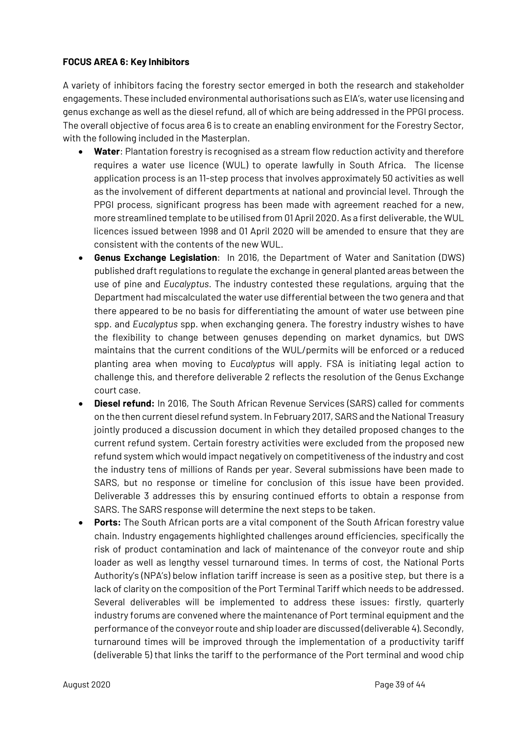### **FOCUS AREA 6: Key Inhibitors**

A variety of inhibitors facing the forestry sector emerged in both the research and stakeholder engagements. These included environmental authorisations such as EIA's, water use licensing and genus exchange as well as the diesel refund, all of which are being addressed in the PPGI process. The overall objective of focus area 6 is to create an enabling environment for the Forestry Sector, with the following included in the Masterplan.

- **Water**: Plantation forestry is recognised as a stream flow reduction activity and therefore requires a water use licence (WUL) to operate lawfully in South Africa. The license application process is an 11-step process that involves approximately 50 activities as well as the involvement of different departments at national and provincial level. Through the PPGI process, significant progress has been made with agreement reached for a new, more streamlined template to be utilised from 01 April 2020. As a first deliverable, the WUL licences issued between 1998 and 01 April 2020 will be amended to ensure that they are consistent with the contents of the new WUL.
- **Genus Exchange Legislation**: In 2016, the Department of Water and Sanitation (DWS) published draft regulations to regulate the exchange in general planted areas between the use of pine and *Eucalyptus*. The industry contested these regulations, arguing that the Department had miscalculated the water use differential between the two genera and that there appeared to be no basis for differentiating the amount of water use between pine spp. and *Eucalyptus* spp. when exchanging genera. The forestry industry wishes to have the flexibility to change between genuses depending on market dynamics, but DWS maintains that the current conditions of the WUL/permits will be enforced or a reduced planting area when moving to *Eucalyptus* will apply. FSA is initiating legal action to challenge this, and therefore deliverable 2 reflects the resolution of the Genus Exchange court case.
- **Diesel refund:** In 2016, The South African Revenue Services (SARS) called for comments on the then current diesel refund system. In February 2017, SARS and the National Treasury jointly produced a discussion document in which they detailed proposed changes to the current refund system. Certain forestry activities were excluded from the proposed new refund system which would impact negatively on competitiveness of the industry and cost the industry tens of millions of Rands per year. Several submissions have been made to SARS, but no response or timeline for conclusion of this issue have been provided. Deliverable 3 addresses this by ensuring continued efforts to obtain a response from SARS. The SARS response will determine the next steps to be taken.
- **Ports:** The South African ports are a vital component of the South African forestry value chain. Industry engagements highlighted challenges around efficiencies, specifically the risk of product contamination and lack of maintenance of the conveyor route and ship loader as well as lengthy vessel turnaround times. In terms of cost, the National Ports Authority's (NPA's) below inflation tariff increase is seen as a positive step, but there is a lack of clarity on the composition of the Port Terminal Tariff which needs to be addressed. Several deliverables will be implemented to address these issues: firstly, quarterly industry forums are convened where the maintenance of Port terminal equipment and the performance of the conveyor route and ship loader are discussed (deliverable 4). Secondly, turnaround times will be improved through the implementation of a productivity tariff (deliverable 5) that links the tariff to the performance of the Port terminal and wood chip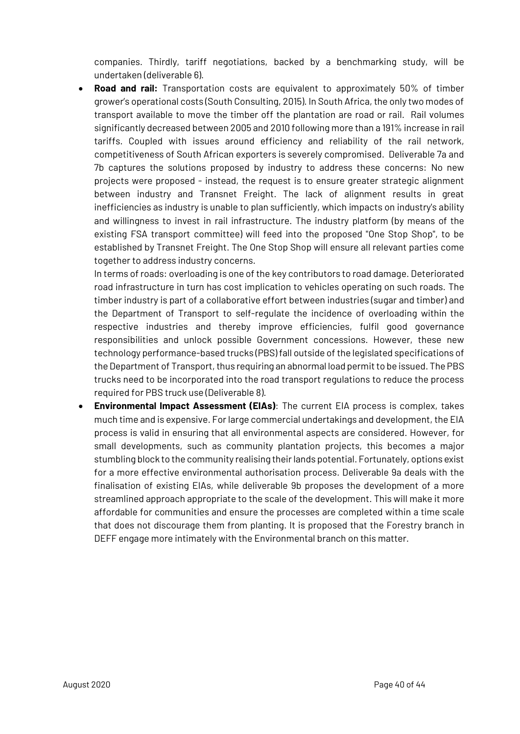companies. Thirdly, tariff negotiations, backed by a benchmarking study, will be undertaken (deliverable 6).

• **Road and rail:** Transportation costs are equivalent to approximately 50% of timber grower's operational costs (South Consulting, 2015). In South Africa, the only two modes of transport available to move the timber off the plantation are road or rail. Rail volumes significantly decreased between 2005 and 2010 following more than a 191% increase in rail tariffs. Coupled with issues around efficiency and reliability of the rail network, competitiveness of South African exporters is severely compromised. Deliverable 7a and 7b captures the solutions proposed by industry to address these concerns: No new projects were proposed - instead, the request is to ensure greater strategic alignment between industry and Transnet Freight. The lack of alignment results in great inefficiencies as industry is unable to plan sufficiently, which impacts on industry's ability and willingness to invest in rail infrastructure. The industry platform (by means of the existing FSA transport committee) will feed into the proposed "One Stop Shop", to be established by Transnet Freight. The One Stop Shop will ensure all relevant parties come together to address industry concerns.

In terms of roads: overloading is one of the key contributors to road damage. Deteriorated road infrastructure in turn has cost implication to vehicles operating on such roads. The timber industry is part of a collaborative effort between industries (sugar and timber) and the Department of Transport to self-regulate the incidence of overloading within the respective industries and thereby improve efficiencies, fulfil good governance responsibilities and unlock possible Government concessions. However, these new technology performance-based trucks (PBS) fall outside of the legislated specifications of the Department of Transport, thus requiring an abnormal load permit to be issued. The PBS trucks need to be incorporated into the road transport regulations to reduce the process required for PBS truck use (Deliverable 8).

• **Environmental Impact Assessment (EIAs)**: The current EIA process is complex, takes much time and is expensive. For large commercial undertakings and development, the EIA process is valid in ensuring that all environmental aspects are considered. However, for small developments, such as community plantation projects, this becomes a major stumbling block to the community realising their lands potential. Fortunately, options exist for a more effective environmental authorisation process. Deliverable 9a deals with the finalisation of existing EIAs, while deliverable 9b proposes the development of a more streamlined approach appropriate to the scale of the development. This will make it more affordable for communities and ensure the processes are completed within a time scale that does not discourage them from planting. It is proposed that the Forestry branch in DEFF engage more intimately with the Environmental branch on this matter.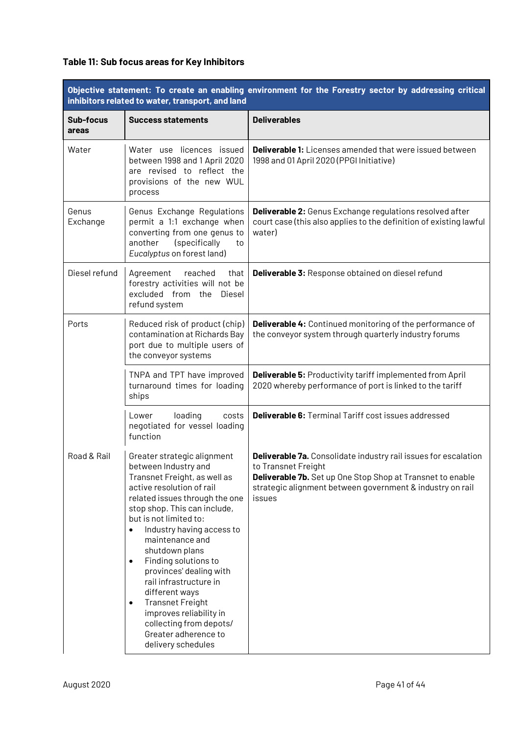# **Table 11: Sub focus areas for Key Inhibitors**

| Objective statement: To create an enabling environment for the Forestry sector by addressing critical<br>inhibitors related to water, transport, and land |                                                                                                                                                                                                                                                                                                                                                                                                                                                                                                                                                     |                                                                                                                                                                                                                             |  |
|-----------------------------------------------------------------------------------------------------------------------------------------------------------|-----------------------------------------------------------------------------------------------------------------------------------------------------------------------------------------------------------------------------------------------------------------------------------------------------------------------------------------------------------------------------------------------------------------------------------------------------------------------------------------------------------------------------------------------------|-----------------------------------------------------------------------------------------------------------------------------------------------------------------------------------------------------------------------------|--|
| Sub-focus<br>areas                                                                                                                                        | <b>Success statements</b>                                                                                                                                                                                                                                                                                                                                                                                                                                                                                                                           | <b>Deliverables</b>                                                                                                                                                                                                         |  |
| Water                                                                                                                                                     | Water use licences issued<br>between 1998 and 1 April 2020<br>are revised to reflect the<br>provisions of the new WUL<br>process                                                                                                                                                                                                                                                                                                                                                                                                                    | <b>Deliverable 1:</b> Licenses amended that were issued between<br>1998 and 01 April 2020 (PPGI Initiative)                                                                                                                 |  |
| Genus<br>Exchange                                                                                                                                         | Genus Exchange Regulations<br>permit a 1:1 exchange when<br>converting from one genus to<br>(specifically<br>another<br>to<br>Eucalyptus on forest land)                                                                                                                                                                                                                                                                                                                                                                                            | <b>Deliverable 2:</b> Genus Exchange regulations resolved after<br>court case (this also applies to the definition of existing lawful<br>water)                                                                             |  |
| Diesel refund                                                                                                                                             | Agreement<br>reached<br>that<br>forestry activities will not be<br>excluded from the<br>Diesel<br>refund system                                                                                                                                                                                                                                                                                                                                                                                                                                     | Deliverable 3: Response obtained on diesel refund                                                                                                                                                                           |  |
| Ports                                                                                                                                                     | Reduced risk of product (chip)<br>contamination at Richards Bay<br>port due to multiple users of<br>the conveyor systems                                                                                                                                                                                                                                                                                                                                                                                                                            | <b>Deliverable 4:</b> Continued monitoring of the performance of<br>the conveyor system through quarterly industry forums                                                                                                   |  |
|                                                                                                                                                           | TNPA and TPT have improved<br>turnaround times for loading<br>ships                                                                                                                                                                                                                                                                                                                                                                                                                                                                                 | <b>Deliverable 5: Productivity tariff implemented from April</b><br>2020 whereby performance of port is linked to the tariff                                                                                                |  |
|                                                                                                                                                           | loading<br>Lower<br>costs<br>negotiated for vessel loading<br>function                                                                                                                                                                                                                                                                                                                                                                                                                                                                              | <b>Deliverable 6: Terminal Tariff cost issues addressed</b>                                                                                                                                                                 |  |
| Road & Rail                                                                                                                                               | Greater strategic alignment<br>between Industry and<br>Transnet Freight, as well as<br>active resolution of rail<br>related issues through the one<br>stop shop. This can include,<br>but is not limited to:<br>Industry having access to<br>$\bullet$<br>maintenance and<br>shutdown plans<br>Finding solutions to<br>$\bullet$<br>provinces' dealing with<br>rail infrastructure in<br>different ways<br><b>Transnet Freight</b><br>$\bullet$<br>improves reliability in<br>collecting from depots/<br>Greater adherence to<br>delivery schedules | Deliverable 7a. Consolidate industry rail issues for escalation<br>to Transnet Freight<br>Deliverable 7b. Set up One Stop Shop at Transnet to enable<br>strategic alignment between government & industry on rail<br>issues |  |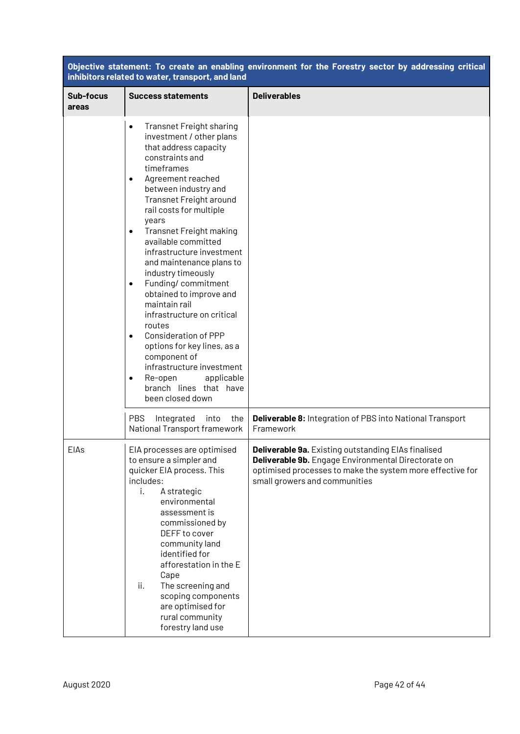| Objective statement: To create an enabling environment for the Forestry sector by addressing critical<br>inhibitors related to water, transport, and land |                                                                                                                                                                                                                                                                                                                                                                                                                                                                                                                                                                                                                                                                                                                                                     |                                                                                                                                                                                                                 |  |
|-----------------------------------------------------------------------------------------------------------------------------------------------------------|-----------------------------------------------------------------------------------------------------------------------------------------------------------------------------------------------------------------------------------------------------------------------------------------------------------------------------------------------------------------------------------------------------------------------------------------------------------------------------------------------------------------------------------------------------------------------------------------------------------------------------------------------------------------------------------------------------------------------------------------------------|-----------------------------------------------------------------------------------------------------------------------------------------------------------------------------------------------------------------|--|
| Sub-focus<br>areas                                                                                                                                        | <b>Success statements</b>                                                                                                                                                                                                                                                                                                                                                                                                                                                                                                                                                                                                                                                                                                                           | <b>Deliverables</b>                                                                                                                                                                                             |  |
|                                                                                                                                                           | <b>Transnet Freight sharing</b><br>$\bullet$<br>investment / other plans<br>that address capacity<br>constraints and<br>timeframes<br>Agreement reached<br>$\bullet$<br>between industry and<br>Transnet Freight around<br>rail costs for multiple<br>years<br><b>Transnet Freight making</b><br>$\bullet$<br>available committed<br>infrastructure investment<br>and maintenance plans to<br>industry timeously<br>Funding/commitment<br>$\bullet$<br>obtained to improve and<br>maintain rail<br>infrastructure on critical<br>routes<br><b>Consideration of PPP</b><br>$\bullet$<br>options for key lines, as a<br>component of<br>infrastructure investment<br>Re-open<br>applicable<br>$\bullet$<br>branch lines that have<br>been closed down |                                                                                                                                                                                                                 |  |
|                                                                                                                                                           | <b>PBS</b><br>Integrated<br>the<br>into<br>National Transport framework                                                                                                                                                                                                                                                                                                                                                                                                                                                                                                                                                                                                                                                                             | <b>Deliverable 8:</b> Integration of PBS into National Transport<br>Framework                                                                                                                                   |  |
| EIAs                                                                                                                                                      | EIA processes are optimised<br>to ensure a simpler and<br>quicker EIA process. This<br>includes:<br>i.<br>A strategic<br>environmental<br>assessment is<br>commissioned by<br>DEFF to cover<br>community land<br>identified for<br>afforestation in the E<br>Cape<br>The screening and<br>ii.<br>scoping components<br>are optimised for<br>rural community<br>forestry land use                                                                                                                                                                                                                                                                                                                                                                    | <b>Deliverable 9a.</b> Existing outstanding EIAs finalised<br>Deliverable 9b. Engage Environmental Directorate on<br>optimised processes to make the system more effective for<br>small growers and communities |  |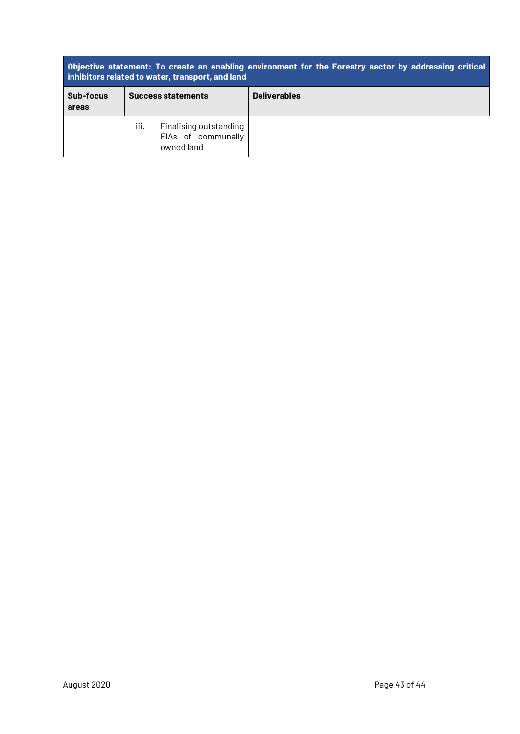| Objective statement: To create an enabling environment for the Forestry sector by addressing critical<br>inhibitors related to water, transport, and land |                                                                    |                     |
|-----------------------------------------------------------------------------------------------------------------------------------------------------------|--------------------------------------------------------------------|---------------------|
| Sub-focus<br>areas                                                                                                                                        | <b>Success statements</b>                                          | <b>Deliverables</b> |
|                                                                                                                                                           | iii.<br>Finalising outstanding<br>EIAs of communally<br>owned land |                     |